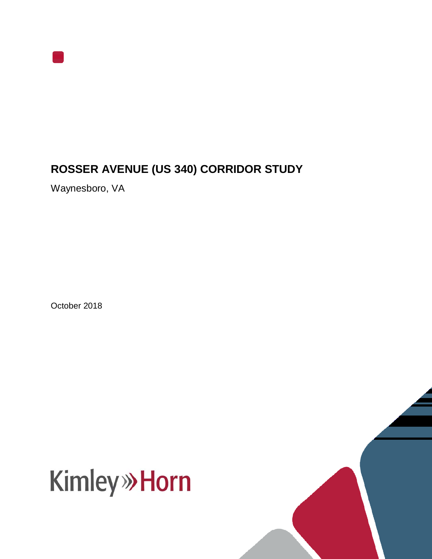

## **ROSSER AVENUE (US 340) CORRIDOR STUDY**

Waynesboro, VA

October 2018



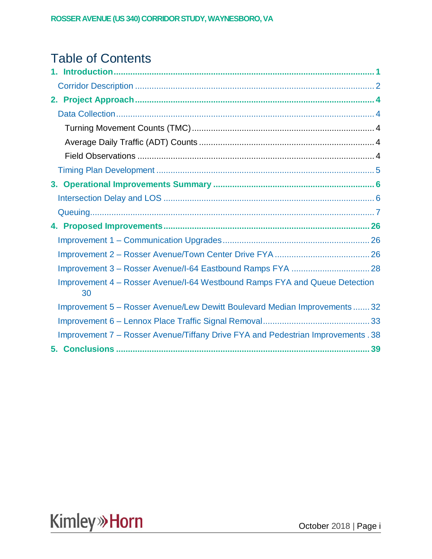## Table of Contents

| Improvement 4 – Rosser Avenue/I-64 Westbound Ramps FYA and Queue Detection<br>30 |
|----------------------------------------------------------------------------------|
| Improvement 5 - Rosser Avenue/Lew Dewitt Boulevard Median Improvements 32        |
|                                                                                  |
| Improvement 7 – Rosser Avenue/Tiffany Drive FYA and Pedestrian Improvements . 38 |
|                                                                                  |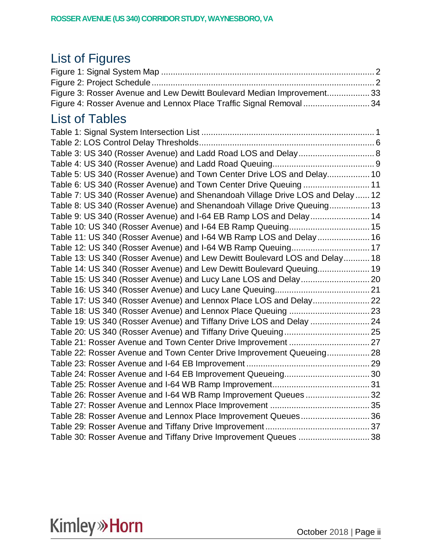## List of Figures

| Figure 3: Rosser Avenue and Lew Dewitt Boulevard Median Improvement33 |  |
|-----------------------------------------------------------------------|--|
| Figure 4: Rosser Avenue and Lennox Place Traffic Signal Removal  34   |  |

## List of Tables

| Table 3: US 340 (Rosser Avenue) and Ladd Road LOS and Delay 8                 |  |
|-------------------------------------------------------------------------------|--|
|                                                                               |  |
| Table 5: US 340 (Rosser Avenue) and Town Center Drive LOS and Delay 10        |  |
| Table 6: US 340 (Rosser Avenue) and Town Center Drive Queuing 11              |  |
| Table 7: US 340 (Rosser Avenue) and Shenandoah Village Drive LOS and Delay 12 |  |
| Table 8: US 340 (Rosser Avenue) and Shenandoah Village Drive Queuing 13       |  |
| Table 9: US 340 (Rosser Avenue) and I-64 EB Ramp LOS and Delay 14             |  |
| Table 10: US 340 (Rosser Avenue) and I-64 EB Ramp Queuing 15                  |  |
| Table 11: US 340 (Rosser Avenue) and I-64 WB Ramp LOS and Delay 16            |  |
|                                                                               |  |
| Table 13: US 340 (Rosser Avenue) and Lew Dewitt Boulevard LOS and Delay 18    |  |
| Table 14: US 340 (Rosser Avenue) and Lew Dewitt Boulevard Queuing 19          |  |
|                                                                               |  |
|                                                                               |  |
| Table 17: US 340 (Rosser Avenue) and Lennox Place LOS and Delay 22            |  |
|                                                                               |  |
| Table 19: US 340 (Rosser Avenue) and Tiffany Drive LOS and Delay  24          |  |
|                                                                               |  |
| Table 21: Rosser Avenue and Town Center Drive Improvement  27                 |  |
| Table 22: Rosser Avenue and Town Center Drive Improvement Queueing 28         |  |
|                                                                               |  |
|                                                                               |  |
|                                                                               |  |
| Table 26: Rosser Avenue and I-64 WB Ramp Improvement Queues32                 |  |
|                                                                               |  |
| Table 28: Rosser Avenue and Lennox Place Improvement Queues36                 |  |
|                                                                               |  |
| Table 30: Rosser Avenue and Tiffany Drive Improvement Queues 38               |  |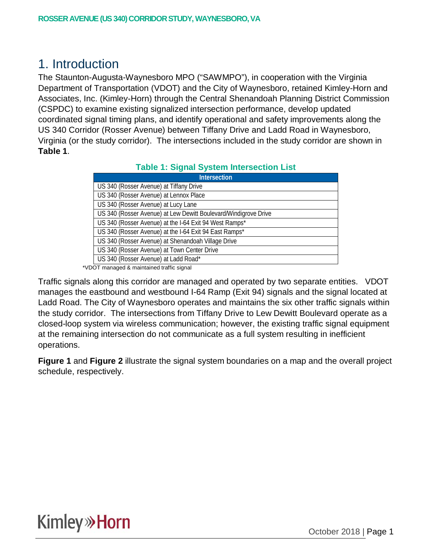## 1. Introduction

The Staunton-Augusta-Waynesboro MPO ("SAWMPO"), in cooperation with the Virginia Department of Transportation (VDOT) and the City of Waynesboro, retained Kimley-Horn and Associates, Inc. (Kimley-Horn) through the Central Shenandoah Planning District Commission (CSPDC) to examine existing signalized intersection performance, develop updated coordinated signal timing plans, and identify operational and safety improvements along the US 340 Corridor (Rosser Avenue) between Tiffany Drive and Ladd Road in Waynesboro, Virginia (or the study corridor). The intersections included in the study corridor are shown in **Table 1**.

#### **Table 1: Signal System Intersection List**

| Intersection                                                    |
|-----------------------------------------------------------------|
| US 340 (Rosser Avenue) at Tiffany Drive                         |
| US 340 (Rosser Avenue) at Lennox Place                          |
| US 340 (Rosser Avenue) at Lucy Lane                             |
| US 340 (Rosser Avenue) at Lew Dewitt Boulevard/Windigrove Drive |
| US 340 (Rosser Avenue) at the I-64 Exit 94 West Ramps*          |
| US 340 (Rosser Avenue) at the I-64 Exit 94 East Ramps*          |
| US 340 (Rosser Avenue) at Shenandoah Village Drive              |
| US 340 (Rosser Avenue) at Town Center Drive                     |
| US 340 (Rosser Avenue) at Ladd Road*                            |

\*VDOT managed & maintained traffic signal

Traffic signals along this corridor are managed and operated by two separate entities. VDOT manages the eastbound and westbound I-64 Ramp (Exit 94) signals and the signal located at Ladd Road. The City of Waynesboro operates and maintains the six other traffic signals within the study corridor. The intersections from Tiffany Drive to Lew Dewitt Boulevard operate as a closed-loop system via wireless communication; however, the existing traffic signal equipment at the remaining intersection do not communicate as a full system resulting in inefficient operations.

**Figure 1** and **Figure 2** illustrate the signal system boundaries on a map and the overall project schedule, respectively.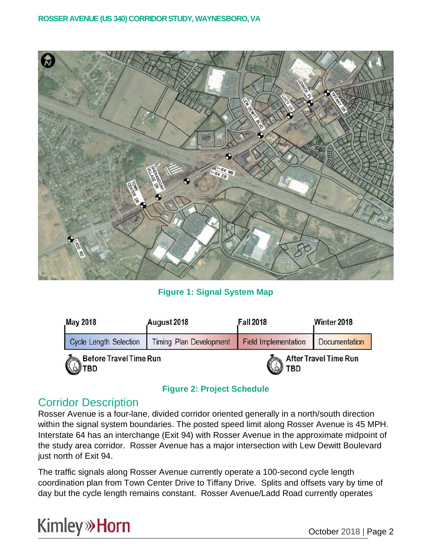

**Figure 1: Signal System Map**

| May 2018                                      | August 2018                    | <b>Fall 2018</b>            | Winter 2018           |  |
|-----------------------------------------------|--------------------------------|-----------------------------|-----------------------|--|
| <b>Cycle Length Selection</b>                 | <b>Timing Plan Development</b> | <b>Field Implementation</b> | Documentation         |  |
| <b>Before Travel Time Run</b><br><b>OUTBD</b> |                                | TBD<br>W                    | After Travel Time Run |  |

#### **Figure 2: Project Schedule**

### Corridor Description

Rosser Avenue is a four-lane, divided corridor oriented generally in a north/south direction within the signal system boundaries. The posted speed limit along Rosser Avenue is 45 MPH. Interstate 64 has an interchange (Exit 94) with Rosser Avenue in the approximate midpoint of the study area corridor. Rosser Avenue has a major intersection with Lew Dewitt Boulevard just north of Exit 94.

The traffic signals along Rosser Avenue currently operate a 100-second cycle length coordination plan from Town Center Drive to Tiffany Drive. Splits and offsets vary by time of day but the cycle length remains constant. Rosser Avenue/Ladd Road currently operates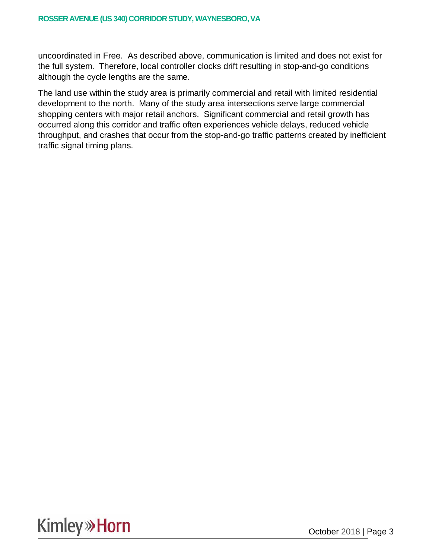uncoordinated in Free. As described above, communication is limited and does not exist for the full system. Therefore, local controller clocks drift resulting in stop-and-go conditions although the cycle lengths are the same.

The land use within the study area is primarily commercial and retail with limited residential development to the north. Many of the study area intersections serve large commercial shopping centers with major retail anchors. Significant commercial and retail growth has occurred along this corridor and traffic often experiences vehicle delays, reduced vehicle throughput, and crashes that occur from the stop-and-go traffic patterns created by inefficient traffic signal timing plans.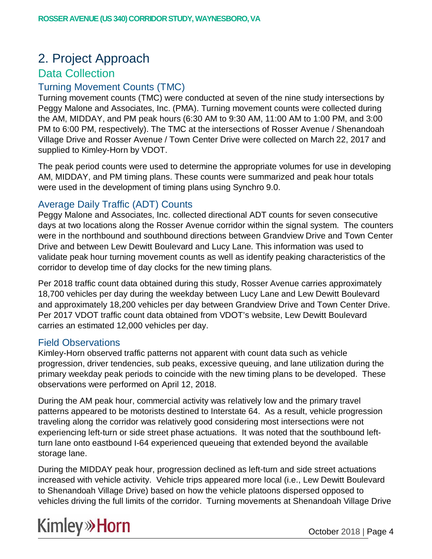## 2. Project Approach

### Data Collection

### Turning Movement Counts (TMC)

Turning movement counts (TMC) were conducted at seven of the nine study intersections by Peggy Malone and Associates, Inc. (PMA). Turning movement counts were collected during the AM, MIDDAY, and PM peak hours (6:30 AM to 9:30 AM, 11:00 AM to 1:00 PM, and 3:00 PM to 6:00 PM, respectively). The TMC at the intersections of Rosser Avenue / Shenandoah Village Drive and Rosser Avenue / Town Center Drive were collected on March 22, 2017 and supplied to Kimley-Horn by VDOT.

The peak period counts were used to determine the appropriate volumes for use in developing AM, MIDDAY, and PM timing plans. These counts were summarized and peak hour totals were used in the development of timing plans using Synchro 9.0.

#### Average Daily Traffic (ADT) Counts

Peggy Malone and Associates, Inc. collected directional ADT counts for seven consecutive days at two locations along the Rosser Avenue corridor within the signal system. The counters were in the northbound and southbound directions between Grandview Drive and Town Center Drive and between Lew Dewitt Boulevard and Lucy Lane. This information was used to validate peak hour turning movement counts as well as identify peaking characteristics of the corridor to develop time of day clocks for the new timing plans.

Per 2018 traffic count data obtained during this study, Rosser Avenue carries approximately 18,700 vehicles per day during the weekday between Lucy Lane and Lew Dewitt Boulevard and approximately 18,200 vehicles per day between Grandview Drive and Town Center Drive. Per 2017 VDOT traffic count data obtained from VDOT's website, Lew Dewitt Boulevard carries an estimated 12,000 vehicles per day.

#### Field Observations

Kimley-Horn observed traffic patterns not apparent with count data such as vehicle progression, driver tendencies, sub peaks, excessive queuing, and lane utilization during the primary weekday peak periods to coincide with the new timing plans to be developed. These observations were performed on April 12, 2018.

During the AM peak hour, commercial activity was relatively low and the primary travel patterns appeared to be motorists destined to Interstate 64. As a result, vehicle progression traveling along the corridor was relatively good considering most intersections were not experiencing left-turn or side street phase actuations. It was noted that the southbound leftturn lane onto eastbound I-64 experienced queueing that extended beyond the available storage lane.

During the MIDDAY peak hour, progression declined as left-turn and side street actuations increased with vehicle activity. Vehicle trips appeared more local (i.e., Lew Dewitt Boulevard to Shenandoah Village Drive) based on how the vehicle platoons dispersed opposed to vehicles driving the full limits of the corridor. Turning movements at Shenandoah Village Drive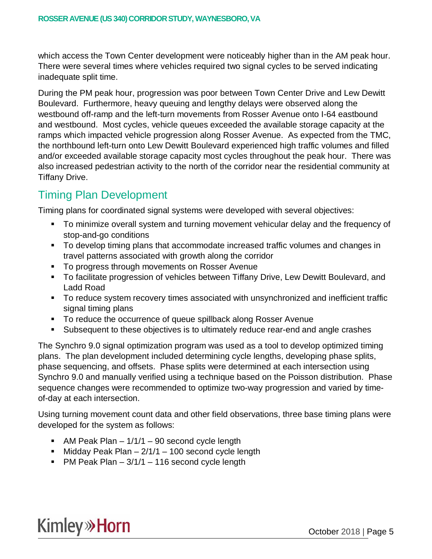which access the Town Center development were noticeably higher than in the AM peak hour. There were several times where vehicles required two signal cycles to be served indicating inadequate split time.

During the PM peak hour, progression was poor between Town Center Drive and Lew Dewitt Boulevard. Furthermore, heavy queuing and lengthy delays were observed along the westbound off-ramp and the left-turn movements from Rosser Avenue onto I-64 eastbound and westbound. Most cycles, vehicle queues exceeded the available storage capacity at the ramps which impacted vehicle progression along Rosser Avenue. As expected from the TMC, the northbound left-turn onto Lew Dewitt Boulevard experienced high traffic volumes and filled and/or exceeded available storage capacity most cycles throughout the peak hour. There was also increased pedestrian activity to the north of the corridor near the residential community at Tiffany Drive.

## Timing Plan Development

Timing plans for coordinated signal systems were developed with several objectives:

- § To minimize overall system and turning movement vehicular delay and the frequency of stop-and-go conditions
- To develop timing plans that accommodate increased traffic volumes and changes in travel patterns associated with growth along the corridor
- To progress through movements on Rosser Avenue
- To facilitate progression of vehicles between Tiffany Drive, Lew Dewitt Boulevard, and Ladd Road
- To reduce system recovery times associated with unsynchronized and inefficient traffic signal timing plans
- To reduce the occurrence of queue spillback along Rosser Avenue
- Subsequent to these objectives is to ultimately reduce rear-end and angle crashes

The Synchro 9.0 signal optimization program was used as a tool to develop optimized timing plans. The plan development included determining cycle lengths, developing phase splits, phase sequencing, and offsets. Phase splits were determined at each intersection using Synchro 9.0 and manually verified using a technique based on the Poisson distribution. Phase sequence changes were recommended to optimize two-way progression and varied by timeof-day at each intersection.

Using turning movement count data and other field observations, three base timing plans were developed for the system as follows:

- AM Peak Plan  $-1/1/1 90$  second cycle length
- Midday Peak Plan  $-2/1/1 100$  second cycle length
- PM Peak Plan  $-3/1/1 116$  second cycle length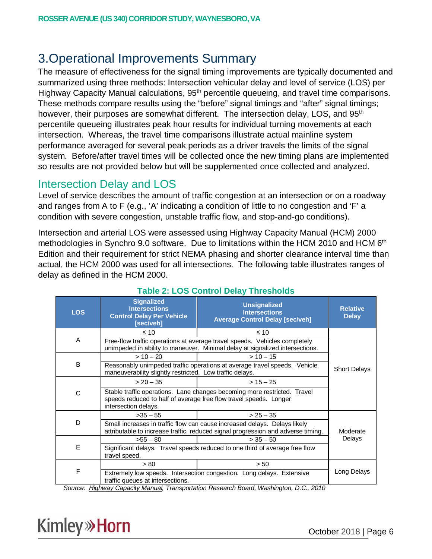## 3.Operational Improvements Summary

The measure of effectiveness for the signal timing improvements are typically documented and summarized using three methods: Intersection vehicular delay and level of service (LOS) per Highway Capacity Manual calculations, 95<sup>th</sup> percentile queueing, and travel time comparisons. These methods compare results using the "before" signal timings and "after" signal timings; however, their purposes are somewhat different. The intersection delay, LOS, and 95<sup>th</sup> percentile queueing illustrates peak hour results for individual turning movements at each intersection. Whereas, the travel time comparisons illustrate actual mainline system performance averaged for several peak periods as a driver travels the limits of the signal system. Before/after travel times will be collected once the new timing plans are implemented so results are not provided below but will be supplemented once collected and analyzed.

### Intersection Delay and LOS

Level of service describes the amount of traffic congestion at an intersection or on a roadway and ranges from A to F (e.g., 'A' indicating a condition of little to no congestion and 'F' a condition with severe congestion, unstable traffic flow, and stop-and-go conditions).

Intersection and arterial LOS were assessed using Highway Capacity Manual (HCM) 2000 methodologies in Synchro 9.0 software. Due to limitations within the HCM 2010 and HCM 6<sup>th</sup> Edition and their requirement for strict NEMA phasing and shorter clearance interval time than actual, the HCM 2000 was used for all intersections. The following table illustrates ranges of delay as defined in the HCM 2000.

| <b>LOS</b> | <b>Signalized</b><br><b>Intersections</b><br><b>Control Delay Per Vehicle</b><br>[sec/veh]                                                                            | <b>Unsignalized</b><br><b>Intersections</b><br><b>Average Control Delay [sec/veh]</b>                                                                                                                                                                                                                                                                                                                                                                                                                            | <b>Relative</b><br><b>Delay</b> |
|------------|-----------------------------------------------------------------------------------------------------------------------------------------------------------------------|------------------------------------------------------------------------------------------------------------------------------------------------------------------------------------------------------------------------------------------------------------------------------------------------------------------------------------------------------------------------------------------------------------------------------------------------------------------------------------------------------------------|---------------------------------|
|            | $\leq 10$                                                                                                                                                             | $\leq 10$                                                                                                                                                                                                                                                                                                                                                                                                                                                                                                        |                                 |
| A          |                                                                                                                                                                       | Free-flow traffic operations at average travel speeds. Vehicles completely<br>unimpeded in ability to maneuver. Minimal delay at signalized intersections.                                                                                                                                                                                                                                                                                                                                                       |                                 |
|            | $> 10 - 20$                                                                                                                                                           |                                                                                                                                                                                                                                                                                                                                                                                                                                                                                                                  |                                 |
| B          | maneuverability slightly restricted. Low traffic delays.                                                                                                              | Reasonably unimpeded traffic operations at average travel speeds. Vehicle                                                                                                                                                                                                                                                                                                                                                                                                                                        | <b>Short Delays</b>             |
|            | $> 20 - 35$                                                                                                                                                           |                                                                                                                                                                                                                                                                                                                                                                                                                                                                                                                  |                                 |
| C          | Stable traffic operations. Lane changes becoming more restricted. Travel<br>speeds reduced to half of average free flow travel speeds. Longer<br>intersection delays. |                                                                                                                                                                                                                                                                                                                                                                                                                                                                                                                  |                                 |
|            | $>35-55$                                                                                                                                                              | $> 25 - 35$                                                                                                                                                                                                                                                                                                                                                                                                                                                                                                      |                                 |
| D          |                                                                                                                                                                       | Small increases in traffic flow can cause increased delays. Delays likely<br>attributable to increase traffic, reduced signal progression and adverse timing.                                                                                                                                                                                                                                                                                                                                                    | Moderate                        |
|            | $>55 - 80$                                                                                                                                                            | $>$ 35 $-$ 50                                                                                                                                                                                                                                                                                                                                                                                                                                                                                                    | Delays                          |
| E          | Significant delays. Travel speeds reduced to one third of average free flow<br>travel speed.                                                                          |                                                                                                                                                                                                                                                                                                                                                                                                                                                                                                                  |                                 |
|            | > 80                                                                                                                                                                  | > 50                                                                                                                                                                                                                                                                                                                                                                                                                                                                                                             |                                 |
| F<br>.     | traffic queues at intersections.                                                                                                                                      | Extremely low speeds. Intersection congestion. Long delays. Extensive<br>$\overline{1}$ $\overline{2}$ $\overline{1}$ $\overline{1}$ $\overline{1}$ $\overline{1}$ $\overline{1}$ $\overline{1}$ $\overline{1}$ $\overline{1}$ $\overline{1}$ $\overline{1}$ $\overline{1}$ $\overline{1}$ $\overline{1}$ $\overline{1}$ $\overline{1}$ $\overline{1}$ $\overline{1}$ $\overline{1}$ $\overline{1}$ $\overline{1}$ $\overline{1}$ $\overline{1}$ $\overline{$<br>$\mathbf{r}$ , and the contract of $\mathbf{r}$ | Long Delays                     |

### **Table 2: LOS Control Delay Thresholds**

*Source: Highway Capacity Manual, Transportation Research Board, Washington, D.C., 2010*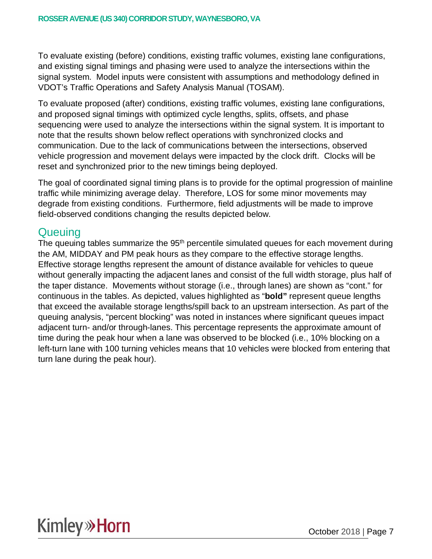To evaluate existing (before) conditions, existing traffic volumes, existing lane configurations, and existing signal timings and phasing were used to analyze the intersections within the signal system. Model inputs were consistent with assumptions and methodology defined in VDOT's Traffic Operations and Safety Analysis Manual (TOSAM).

To evaluate proposed (after) conditions, existing traffic volumes, existing lane configurations, and proposed signal timings with optimized cycle lengths, splits, offsets, and phase sequencing were used to analyze the intersections within the signal system. It is important to note that the results shown below reflect operations with synchronized clocks and communication. Due to the lack of communications between the intersections, observed vehicle progression and movement delays were impacted by the clock drift. Clocks will be reset and synchronized prior to the new timings being deployed.

The goal of coordinated signal timing plans is to provide for the optimal progression of mainline traffic while minimizing average delay. Therefore, LOS for some minor movements may degrade from existing conditions. Furthermore, field adjustments will be made to improve field-observed conditions changing the results depicted below.

### **Queuing**

The queuing tables summarize the  $95<sup>th</sup>$  percentile simulated queues for each movement during the AM, MIDDAY and PM peak hours as they compare to the effective storage lengths. Effective storage lengths represent the amount of distance available for vehicles to queue without generally impacting the adjacent lanes and consist of the full width storage, plus half of the taper distance. Movements without storage (i.e., through lanes) are shown as "cont." for continuous in the tables. As depicted, values highlighted as "**bold"** represent queue lengths that exceed the available storage lengths/spill back to an upstream intersection. As part of the queuing analysis, "percent blocking" was noted in instances where significant queues impact adjacent turn- and/or through-lanes. This percentage represents the approximate amount of time during the peak hour when a lane was observed to be blocked (i.e., 10% blocking on a left-turn lane with 100 turning vehicles means that 10 vehicles were blocked from entering that turn lane during the peak hour).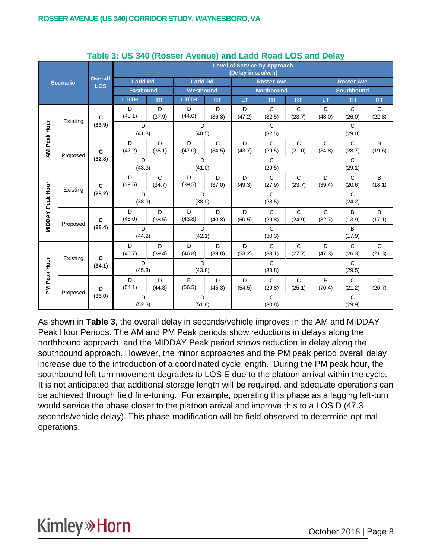|                         |                 | <b>Level of Service by Approach</b><br>(Delay in sec/veh) |                  |             |                |                        |                        |                        |                        |                          |                          |                        |  |
|-------------------------|-----------------|-----------------------------------------------------------|------------------|-------------|----------------|------------------------|------------------------|------------------------|------------------------|--------------------------|--------------------------|------------------------|--|
|                         | <b>Scenario</b> | <b>Overall</b><br><b>LOS</b>                              | <b>Ladd Rd</b>   |             | <b>Ladd Rd</b> |                        |                        | <b>Rosser Ave</b>      |                        | <b>Rosser Ave</b>        |                          |                        |  |
|                         |                 |                                                           | <b>Eastbound</b> |             | Westbound      |                        | <b>Northbound</b>      |                        |                        |                          | <b>Southbound</b>        |                        |  |
|                         |                 |                                                           | LT/TH            | <b>RT</b>   | LT/TH          | <b>RT</b>              | LT                     | <b>TH</b>              | <b>RT</b>              | LT                       | <b>TH</b>                | <b>RT</b>              |  |
|                         | Existing        | $\mathbf c$                                               | D<br>(43.1)      | D<br>(37.9) | D<br>(44.0)    | D<br>(36.8)            | D<br>(47.2)            | $\mathbf C$<br>(32.5)  | $\mathbf C$<br>(23.7)  | D<br>(48.0)              | $\mathbf C$<br>(26.0)    | $\mathbf C$<br>(22.8)  |  |
| AM Peak Hour            |                 | (33.9)                                                    | D<br>(41.3)      |             | D<br>(40.5)    |                        | $\mathbf C$<br>(32.5)  |                        |                        |                          | $\mathsf{C}$<br>(29.0)   |                        |  |
|                         | Proposed        | $\mathbf c$                                               | D<br>(47.2)      | D<br>(36.1) | D<br>(47.0)    | $\mathsf{C}$<br>(34.5) | D<br>(43.7)            | $\mathsf C$<br>(29.5)  | $\mathsf{C}$<br>(21.0) | $\mathsf C$<br>(34.8)    | $\mathsf C$<br>(28.7)    | B<br>(19.6)            |  |
|                         |                 | (32.8)                                                    | D<br>(43.3)      |             | D<br>(41.0)    |                        | $\mathbf C$<br>(29.5)  |                        |                        | $\overline{c}$<br>(29.1) |                          |                        |  |
|                         | Existing        | $\mathbf c$<br>(29.2)                                     | D<br>(39.5)      | C<br>(34.7) | D<br>(39.5)    | D<br>(37.0)            | D<br>(49.3)            | $\mathbf C$<br>(27.9)  | $\mathsf{C}$<br>(23.7) | D<br>(39.4)              | $\mathsf{C}$<br>(20.6)   | B<br>(18.1)            |  |
|                         |                 |                                                           | D<br>(38.9)      |             | D<br>(38.0)    |                        | $\mathsf{C}$<br>(28.5) |                        |                        |                          | $\overline{c}$<br>(24.2) |                        |  |
| <b>MIDDAY Peak Hour</b> | Proposed        | $\mathbf{C}$                                              | D<br>(45.0)      | D<br>(38.5) | D<br>(43.8)    | D<br>(40.8)            | D<br>(50.5)            | $\mathbf C$<br>(29.8)  | $\mathsf{C}$<br>(24.9) | $\mathsf{C}$<br>(32.7)   | B<br>(13.9)              | B<br>(17.1)            |  |
|                         |                 | (28.4)                                                    | D<br>(44.2)      |             | D<br>(42.1)    |                        |                        | $\mathbf C$<br>(30.3)  |                        |                          | B<br>(17.9)              |                        |  |
|                         | Existing        | C                                                         | D<br>(46.7)      | D<br>(39.4) | D<br>(46.8)    | D<br>(39.8)            | D<br>(53.2)            | $\mathbf C$<br>(33.1)  | C<br>(27.7)            | D<br>(47.3)              | $\mathsf{C}$<br>(26.3)   | $\mathsf{C}$<br>(21.3) |  |
|                         |                 | (34.1)                                                    | D<br>(45.3)      |             | D<br>(43.8)    |                        |                        | $\mathsf{C}$<br>(33.8) |                        | $\mathsf{C}$<br>(29.5)   |                          |                        |  |
| PM Peak Hour            |                 | D                                                         | D<br>(54.1)      | D<br>(44.3) | E<br>(56.5)    | D<br>(45.3)            | D<br>(54.5)            | $\mathbf C$<br>(29.8)  | $\mathbf C$<br>(25.1)  | E<br>(70.4)              | $\mathsf{C}$<br>(21.2)   | $\mathsf C$<br>(20.7)  |  |
|                         | Proposed        | (35.0)                                                    | D<br>(52.3)      |             | D<br>(51.8)    |                        |                        | $\mathbf C$<br>(30.8)  |                        |                          | $\mathbf C$<br>(29.9)    |                        |  |

#### **Table 3: US 340 (Rosser Avenue) and Ladd Road LOS and Delay**

As shown in **Table 3**, the overall delay in seconds/vehicle improves in the AM and MIDDAY Peak Hour Periods. The AM and PM Peak periods show reductions in delays along the northbound approach, and the MIDDAY Peak period shows reduction in delay along the southbound approach. However, the minor approaches and the PM peak period overall delay increase due to the introduction of a coordinated cycle length. During the PM peak hour, the southbound left-turn movement degrades to LOS E due to the platoon arrival within the cycle. It is not anticipated that additional storage length will be required, and adequate operations can be achieved through field fine-tuning. For example, operating this phase as a lagging left-turn would service the phase closer to the platoon arrival and improve this to a LOS D (47.3 seconds/vehicle delay). This phase modification will be field-observed to determine optimal operations.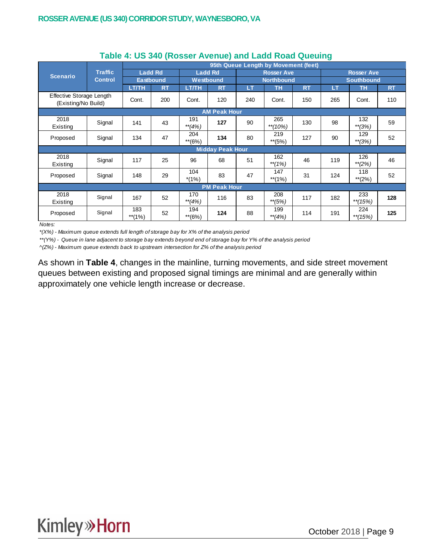|                                                 |                | 95th Queue Length by Movement (feet) |           |                 |                         |                   |                   |           |                   |                   |           |  |
|-------------------------------------------------|----------------|--------------------------------------|-----------|-----------------|-------------------------|-------------------|-------------------|-----------|-------------------|-------------------|-----------|--|
| <b>Scenario</b>                                 | <b>Traffic</b> | <b>Ladd Rd</b><br><b>Eastbound</b>   |           |                 | <b>Ladd Rd</b>          |                   | <b>Rosser Ave</b> |           |                   | <b>Rosser Ave</b> |           |  |
|                                                 | <b>Control</b> |                                      |           | Westbound       |                         | <b>Northbound</b> |                   |           | <b>Southbound</b> |                   |           |  |
|                                                 |                | LT/TH                                | <b>RT</b> | <b>LT/TH</b>    | <b>RT</b>               | <b>LT</b>         | <b>TH</b>         | <b>RT</b> | LT                | <b>TH</b>         | <b>RT</b> |  |
| Effective Storage Length<br>(Existing/No Build) |                | Cont.                                | 200       | Cont.           | 120                     | 240               | Cont.             | 150       | 265               | Cont.             | 110       |  |
| <b>AM Peak Hour</b>                             |                |                                      |           |                 |                         |                   |                   |           |                   |                   |           |  |
| 2018<br>Existing                                | Signal         | 141                                  | 43        | 191<br>$**(4%)$ | 127                     | 90                | 265<br>$**(10%)$  | 130       | 98                | 132<br>$**(3%)$   | 59        |  |
| Proposed                                        | Signal         | 134                                  | 47        | 204<br>**(6%)   | 134                     | 80                | 219<br>$**$ (5%)  | 127       | 90                | 129<br>$**(3%)$   | 52        |  |
|                                                 |                |                                      |           |                 | <b>Midday Peak Hour</b> |                   |                   |           |                   |                   |           |  |
| 2018<br>Existing                                | Signal         | 117                                  | 25        | 96              | 68                      | 51                | 162<br>**(1%)     | 46        | 119               | 126<br>$*$ (2%)   | 46        |  |
| Proposed                                        | Signal         | 148                                  | 29        | 104<br>$*(1\%)$ | 83                      | 47                | 147<br>$**$ (1%)  | 31        | 124               | 118<br>$**$ (2%)  | 52        |  |
|                                                 |                |                                      |           |                 | <b>PM Peak Hour</b>     |                   |                   |           |                   |                   |           |  |
| 2018<br>Existing                                | Signal         | 167                                  | 52        | 170<br>$**(4%)$ | 116                     | 83                | 208<br>**(5%)     | 117       | 182               | 233<br>$*$ (15%)  | 128       |  |
| Proposed                                        | Signal         | 183<br>$**$ (1%)                     | 52        | 194<br>**(6%)   | 124                     | 88                | 199<br>**(4%)     | 114       | 191               | 224<br>$*$ (15%)  | 125       |  |

#### **Table 4: US 340 (Rosser Avenue) and Ladd Road Queuing**

*Notes:*

*\*(X%) - Maximum queue extends full length of storage bay for X% of the analysis period*

*\*\*(Y%) - Queue in lane adjacent to storage bay extends beyond end of storage bay for Y% of the analysis period*

*^(Z%) - Maximum queue extends back to upstream intersection for Z% of the analysis period*

As shown in **Table 4**, changes in the mainline, turning movements, and side street movement queues between existing and proposed signal timings are minimal and are generally within approximately one vehicle length increase or decrease.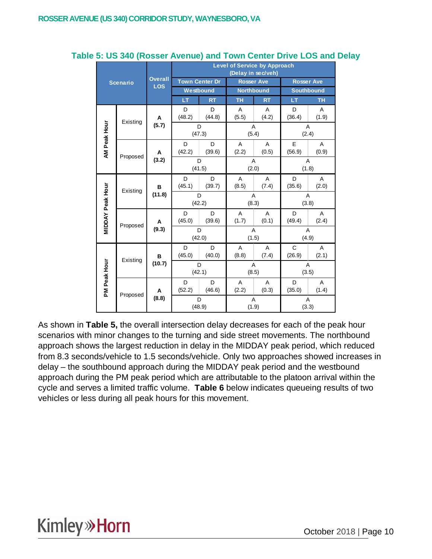|                  |                 |                              | <b>Level of Service by Approach</b><br>(Delay in sec/veh) |             |                   |                         |                         |            |  |  |  |
|------------------|-----------------|------------------------------|-----------------------------------------------------------|-------------|-------------------|-------------------------|-------------------------|------------|--|--|--|
|                  | <b>Scenario</b> | <b>Overall</b><br><b>LOS</b> | <b>Town Center Dr</b>                                     |             | <b>Rosser Ave</b> |                         | <b>Rosser Ave</b>       |            |  |  |  |
|                  |                 |                              | Westbound                                                 |             |                   | <b>Northbound</b>       | <b>Southbound</b>       |            |  |  |  |
|                  |                 |                              | LT                                                        | <b>RT</b>   | TH                | <b>RT</b>               | LT                      | <b>TH</b>  |  |  |  |
|                  | Existing        | A                            | D<br>(48.2)                                               | D<br>(44.8) | A<br>(5.5)        | A<br>(4.2)              | D<br>(36.4)             | A<br>(1.9) |  |  |  |
|                  |                 | (5.7)                        | D<br>(47.3)                                               |             |                   | A<br>(5.4)              | A<br>(2.4)              |            |  |  |  |
| AM Peak Hour     | Proposed        | A                            | D<br>(42.2)                                               | D<br>(39.6) | A<br>(2.2)        | A<br>(0.5)              | E<br>(56.9)             | A<br>(0.9) |  |  |  |
|                  |                 | (3.2)                        | D<br>(41.5)                                               |             | (2.0)             | A                       | A<br>(1.8)              |            |  |  |  |
| MIDDAY Peak Hour | Existing        | B<br>(11.8)                  | D<br>(45.1)                                               | D<br>(39.7) | A<br>(8.5)        | A<br>(7.4)              | D<br>(35.6)             | A<br>(2.0) |  |  |  |
|                  |                 |                              | D<br>(42.2)                                               |             |                   | A<br>(8.3)              | $\overline{A}$<br>(3.8) |            |  |  |  |
|                  | Proposed        | А                            | D<br>(45.0)                                               | D<br>(39.6) | A<br>(1.7)        | A<br>(0.1)              | D<br>(49.4)             | A<br>(2.4) |  |  |  |
|                  |                 | (9.3)                        | D<br>(42.0)                                               |             |                   | A<br>(1.5)              | A<br>(4.9)              |            |  |  |  |
|                  | Existing        | B                            | D<br>(45.0)                                               | D<br>(40.0) | A<br>(8.8)        | A<br>(7.4)              | C<br>(26.9)             | Α<br>(2.1) |  |  |  |
|                  |                 | (10.7)                       | D                                                         | (42.1)      |                   | A<br>(8.5)              | $\overline{A}$<br>(3.5) |            |  |  |  |
| PM Peak Hour     |                 | A                            | D<br>(52.2)                                               | D<br>(46.6) | A<br>(2.2)        | $\overline{A}$<br>(0.3) | D<br>(35.0)             | A<br>(1.4) |  |  |  |
|                  | Proposed        | (8.8)                        | D                                                         | (48.9)      |                   | Α<br>(1.9)              | Α<br>(3.3)              |            |  |  |  |

#### **Table 5: US 340 (Rosser Avenue) and Town Center Drive LOS and Delay**

As shown in **Table 5,** the overall intersection delay decreases for each of the peak hour scenarios with minor changes to the turning and side street movements. The northbound approach shows the largest reduction in delay in the MIDDAY peak period, which reduced from 8.3 seconds/vehicle to 1.5 seconds/vehicle. Only two approaches showed increases in delay – the southbound approach during the MIDDAY peak period and the westbound approach during the PM peak period which are attributable to the platoon arrival within the cycle and serves a limited traffic volume. **Table 6** below indicates queueing results of two vehicles or less during all peak hours for this movement.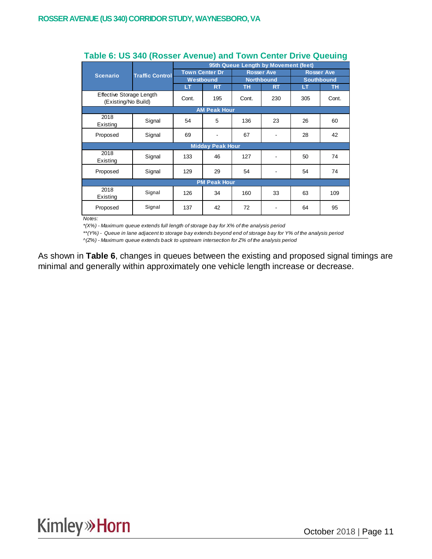|                                                 |                        | 95th Queue Length by Movement (feet) |                         |       |                   |                                        |           |  |  |  |  |
|-------------------------------------------------|------------------------|--------------------------------------|-------------------------|-------|-------------------|----------------------------------------|-----------|--|--|--|--|
| <b>Scenario</b>                                 | <b>Traffic Control</b> | <b>Town Center Dr</b>                |                         |       | <b>Rosser Ave</b> | <b>Rosser Ave</b><br><b>Southbound</b> |           |  |  |  |  |
|                                                 |                        | Westbound                            |                         |       | <b>Northbound</b> |                                        |           |  |  |  |  |
|                                                 |                        | LT                                   | <b>RT</b>               | TН    | <b>RT</b>         | LT                                     | <b>TH</b> |  |  |  |  |
| Effective Storage Length<br>(Existing/No Build) |                        | Cont.                                | 195                     | Cont. | 230               | 305                                    | Cont.     |  |  |  |  |
|                                                 |                        |                                      | <b>AM Peak Hour</b>     |       |                   |                                        |           |  |  |  |  |
| 2018<br>Existing                                | Signal                 | 54                                   | 5                       | 136   | 23                | 26                                     | 60        |  |  |  |  |
| Proposed                                        | Signal                 | 69<br>67                             |                         |       | 28                | 42                                     |           |  |  |  |  |
|                                                 |                        |                                      | <b>Midday Peak Hour</b> |       |                   |                                        |           |  |  |  |  |
| 2018<br>Existing                                | Signal                 | 133                                  | 46                      | 127   | ۰                 | 50                                     | 74        |  |  |  |  |
| Proposed                                        | Signal                 | 129                                  | 29                      | 54    | -                 | 54                                     | 74        |  |  |  |  |
|                                                 |                        |                                      | <b>PM Peak Hour</b>     |       |                   |                                        |           |  |  |  |  |
| 2018<br>Existing                                | Signal                 | 126                                  | 34                      | 160   | 33                | 63                                     | 109       |  |  |  |  |
| Proposed                                        | Signal                 | 137                                  | 42                      | 72    |                   | 64                                     | 95        |  |  |  |  |

#### **Table 6: US 340 (Rosser Avenue) and Town Center Drive Queuing**

*Notes:*

*\*(X%) - Maximum queue extends full length of storage bay for X% of the analysis period*

*\*\*(Y%) - Queue in lane adjacent to storage bay extends beyond end of storage bay for Y% of the analysis period*

*^(Z%) - Maximum queue extends back to upstream intersection for Z% of the analysis period*

As shown in **Table 6**, changes in queues between the existing and proposed signal timings are minimal and generally within approximately one vehicle length increase or decrease.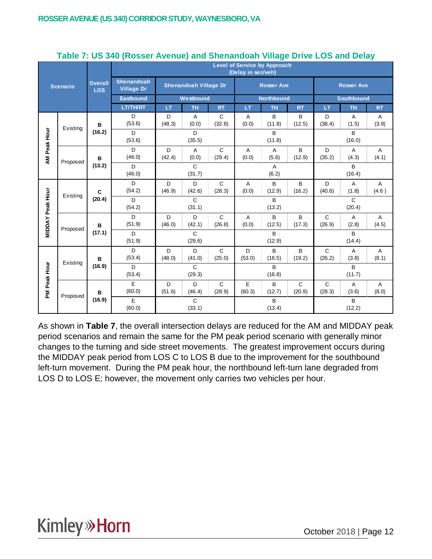|                  |                         |                              | <u>.</u><br><b>Level of Service by Approach</b><br>(Delay in sec/veh) |             |                              |                        |                         |                         |                       |                        |                         |            |  |
|------------------|-------------------------|------------------------------|-----------------------------------------------------------------------|-------------|------------------------------|------------------------|-------------------------|-------------------------|-----------------------|------------------------|-------------------------|------------|--|
|                  | <b>Scenario</b>         | <b>Overall</b><br><b>LOS</b> | <b>Shenandoah</b><br><b>Village Dr</b>                                |             | <b>Shenandoah Village Dr</b> |                        |                         | <b>Rosser Ave</b>       |                       |                        | <b>Rosser Ave</b>       |            |  |
|                  |                         |                              | <b>Eastbound</b>                                                      | Westbound   |                              |                        | <b>Northbound</b>       |                         |                       | <b>Southbound</b>      |                         |            |  |
|                  |                         |                              | <b>LT/TH/RT</b>                                                       | LT.         | <b>TH</b>                    | <b>RT</b>              | LT                      | <b>TH</b>               | <b>RT</b>             | LT.                    | <b>TH</b>               | <b>RT</b>  |  |
|                  | Existing                | B                            | D<br>(53.6)                                                           | D<br>(48.3) | A<br>(0.0)                   | C<br>(32.8)            | A<br>(0.0)              | B<br>(11.8)             | B<br>(12.5)           | D<br>(38.4)            | A<br>(1.5)              | A<br>(3.9) |  |
|                  |                         | (16.2)                       | D<br>(53.6)                                                           |             | D<br>(35.5)                  |                        |                         | B<br>(11.8)             |                       |                        | B<br>(16.0)             |            |  |
| AM Peak Hour     | Proposed                | B                            | D<br>(46.0)                                                           | D<br>(42.4) | A<br>(0.0)                   | $\mathbf C$<br>(29.4)  | A<br>(0.0)              | A<br>(5.6)              | B<br>(12.9)           | D<br>(35.2)            | A<br>(4.3)              | A<br>(4.1) |  |
|                  |                         | (13.2)                       | D<br>(46.0)                                                           |             | $\mathsf C$<br>(31.7)        |                        |                         | $\overline{A}$<br>(6.2) |                       |                        | B<br>(16.4)             |            |  |
|                  | $\mathbf c$<br>Existing |                              | D<br>(54.2)                                                           | D<br>(46.9) | D<br>(42.6)                  | $\mathsf{C}$<br>(28.3) | $\overline{A}$<br>(0.0) | B<br>(12.9)             | B<br>(16.2)           | D<br>(40.6)            | A<br>(1.8)              | A<br>(4.6) |  |
|                  |                         | (20.4)                       | D<br>(54.2)                                                           |             | $\mathsf{C}$<br>(31.1)       |                        |                         | B<br>(13.2)             |                       |                        | $\mathsf{C}$<br>(20.4)  |            |  |
| MIDDAY Peak Hour | Proposed                | B                            | D<br>(51.9)                                                           | D<br>(46.0) | D<br>(42.1)                  | $\mathsf{C}$<br>(26.8) | A<br>(0.0)              | B<br>(12.5)             | B<br>(17.3)           | $\mathsf{C}$<br>(26.9) | A<br>(2.8)              | A<br>(4.5) |  |
|                  |                         | (17.1)                       | D<br>(51.9)                                                           |             | $\mathsf{C}$<br>(29.6)       |                        |                         | B<br>(12.9)             |                       |                        | B<br>(14.4)             |            |  |
|                  | Existing                | B                            | D<br>(53.4)                                                           | D<br>(48.0) | D<br>(41.0)                  | $\mathsf{C}$<br>(25.0) | D<br>(53.0)             | B<br>(16.5)             | B<br>(19.2)           | $\mathsf{C}$<br>(26.2) | $\overline{A}$<br>(3.8) | A<br>(8.1) |  |
|                  |                         | (16.9)                       | D<br>(53.4)                                                           |             | $\mathsf{C}$<br>(29.3)       |                        |                         | $\sf B$<br>(16.8)       |                       |                        | $\sf B$<br>(11.7)       |            |  |
| PM Peak Hour     |                         | B                            | $\overline{E}$<br>(60.0)                                              | D<br>(51.6) | D<br>(46.4)                  | $\mathbf C$<br>(28.9)  | E<br>(60.3)             | B<br>(12.7)             | $\mathbf C$<br>(20.9) | $\mathbf C$<br>(28.3)  | A<br>(3.6)              | A<br>(8.0) |  |
|                  | Proposed                | (16.9)                       | E<br>(60.0)                                                           |             | $\mathbf C$<br>(33.1)        |                        |                         | B<br>(13.4)             |                       |                        | B<br>(12.2)             |            |  |

#### **Table 7: US 340 (Rosser Avenue) and Shenandoah Village Drive LOS and Delay**

As shown in **Table 7**, the overall intersection delays are reduced for the AM and MIDDAY peak period scenarios and remain the same for the PM peak period scenario with generally minor changes to the turning and side street movements. The greatest improvement occurs during the MIDDAY peak period from LOS C to LOS B due to the improvement for the southbound left-turn movement. During the PM peak hour, the northbound left-turn lane degraded from LOS D to LOS E; however, the movement only carries two vehicles per hour.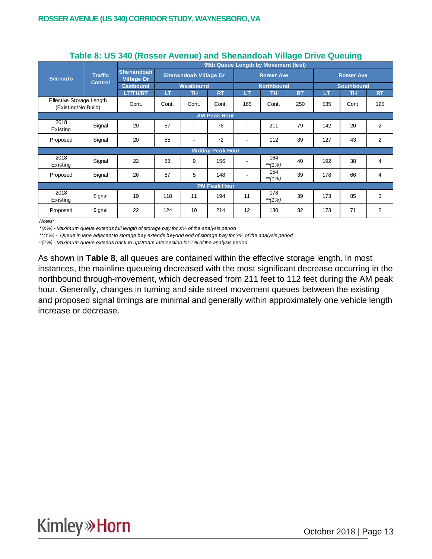|                                                 | <b>Traffic</b> | 95th Queue Length by Movement (feet)   |                                           |           |                         |                   |                   |           |                   |           |                |  |  |
|-------------------------------------------------|----------------|----------------------------------------|-------------------------------------------|-----------|-------------------------|-------------------|-------------------|-----------|-------------------|-----------|----------------|--|--|
| <b>Scenario</b>                                 |                | <b>Shenandoah</b><br><b>Village Dr</b> | <b>Shenandoah Village Dr</b><br>Westbound |           |                         | <b>Rosser Ave</b> |                   |           | <b>Rosser Ave</b> |           |                |  |  |
|                                                 | <b>Control</b> | <b>Eastbound</b>                       |                                           |           |                         |                   | <b>Northbound</b> |           | <b>Southbound</b> |           |                |  |  |
|                                                 |                | <b>LT/TH/RT</b>                        | ΙT                                        | <b>TH</b> | <b>RT</b>               | LT                | <b>TH</b>         | <b>RT</b> | LT                | <b>TH</b> | <b>RT</b>      |  |  |
| Effective Storage Length<br>(Existing/No Build) |                | Cont.                                  | Cont.                                     | Cont.     | Cont.                   | 165               | Cont.             | 250       | 535               | Cont.     | 125            |  |  |
| <b>AM Peak Hour</b>                             |                |                                        |                                           |           |                         |                   |                   |           |                   |           |                |  |  |
| 2018<br>Existing                                | Signal         | 20                                     | 57                                        |           | 76                      |                   | 211               | 79        | 142               | 20        | $\overline{2}$ |  |  |
| Proposed                                        | Signal         | 20                                     | 55                                        |           | 72                      |                   | 112               | 39        | 127               | 43        | $\overline{2}$ |  |  |
|                                                 |                |                                        |                                           |           | <b>Midday Peak Hour</b> |                   |                   |           |                   |           |                |  |  |
| 2018<br>Existing                                | Signal         | 22                                     | 88                                        | 9         | 156                     |                   | 164<br>$**$ (1%)  | 40        | 192               | 38        | 4              |  |  |
| Proposed                                        | Signal         | 26                                     | 87                                        | 5         | 148                     |                   | 154<br>**(1%)     | 39        | 178               | 66        | 4              |  |  |
|                                                 |                |                                        |                                           |           | <b>PM Peak Hour</b>     |                   |                   |           |                   |           |                |  |  |
| 2018<br>Existing                                | Signal         | 19                                     | 118                                       | 11        | 194                     | 11                | 178<br>** $(1%)$  | 39        | 173               | 85        | 3              |  |  |
| Proposed                                        | Signal         | 22                                     | 124                                       | 10        | 214                     | 12                | 130               | 32        | 173               | 71        | $\overline{2}$ |  |  |

#### **Table 8: US 340 (Rosser Avenue) and Shenandoah Village Drive Queuing**

*Notes:*

*\*(X%) - Maximum queue extends full length of storage bay for X% of the analysis period*

*\*\*(Y%) - Queue in lane adjacent to storage bay extends beyond end of storage bay for Y% of the analysis period*

*^(Z%) - Maximum queue extends back to upstream intersection for Z% of the analysis period*

As shown in **Table 8**, all queues are contained within the effective storage length. In most instances, the mainline queueing decreased with the most significant decrease occurring in the northbound through-movement, which decreased from 211 feet to 112 feet during the AM peak hour. Generally, changes in turning and side street movement queues between the existing and proposed signal timings are minimal and generally within approximately one vehicle length increase or decrease.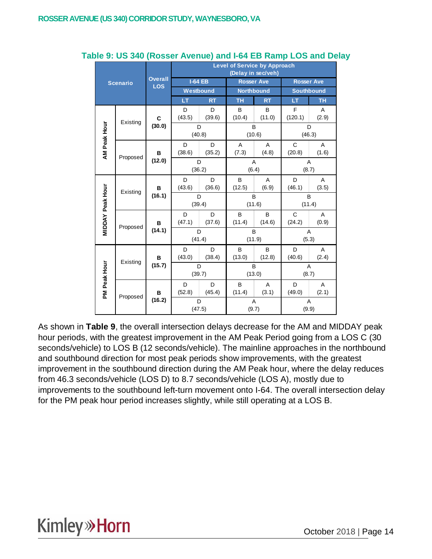|                         |                 |                              |                |             | <b>Level of Service by Approach</b> | (Delay in sec/veh) |                         |            |
|-------------------------|-----------------|------------------------------|----------------|-------------|-------------------------------------|--------------------|-------------------------|------------|
|                         | <b>Scenario</b> | <b>Overall</b><br><b>LOS</b> | <b>I-64 EB</b> |             |                                     | <b>Rosser Ave</b>  | <b>Rosser Ave</b>       |            |
|                         |                 |                              | Westbound      |             |                                     | <b>Northbound</b>  | <b>Southbound</b>       |            |
|                         |                 |                              | LT             | <b>RT</b>   | <b>TH</b>                           | <b>RT</b>          | LT                      | <b>TH</b>  |
|                         | Existing        | C                            | D<br>(43.5)    | D<br>(39.6) | B<br>(10.4)                         | B<br>(11.0)        | F<br>(120.1)            | A<br>(2.9) |
|                         |                 | (30.0)                       | D<br>(40.8)    |             |                                     | B<br>(10.6)        | D<br>(46.3)             |            |
| AM Peak Hour            |                 | в                            | D<br>(38.6)    | D<br>(35.2) | A<br>(7.3)                          | A<br>(4.8)         | $\mathsf{C}$<br>(20.8)  | A<br>(1.6) |
|                         | Proposed        | (12.0)                       | D<br>(36.2)    |             | A<br>(6.4)                          |                    | $\overline{A}$<br>(8.7) |            |
|                         | Existing        | в<br>(16.1)                  | D<br>(43.6)    | D<br>(36.6) | B<br>(12.5)                         | A<br>(6.9)         | D<br>(46.1)             | A<br>(3.5) |
|                         |                 |                              | D<br>(39.4)    |             |                                     | B<br>(11.6)        | B<br>(11.4)             |            |
| <b>MIDDAY Peak Hour</b> |                 | в                            | D<br>(47.1)    | D<br>(37.6) | B<br>(11.4)                         | B<br>(14.6)        | C<br>(24.2)             | Α<br>(0.9) |
|                         | Proposed        | (14.1)                       | D<br>(41.4)    |             | B<br>(11.9)                         |                    | Α<br>(5.3)              |            |
|                         | Existing        | в                            | D<br>(43.0)    | D<br>(38.4) | B<br>(13.0)                         | B<br>(12.8)        | D<br>(40.6)             | A<br>(2.4) |
|                         |                 | (15.7)                       | D<br>(39.7)    |             |                                     | B<br>(13.0)        | A<br>(8.7)              |            |
| PM Peak Hour            |                 | в                            | D<br>(52.8)    | D<br>(45.4) | B<br>(11.4)                         | A<br>(3.1)         | D<br>(49.0)             | A<br>(2.1) |
|                         | Proposed        | (16.2)                       | D<br>(47.5)    |             | A<br>(9.7)                          |                    | A<br>(9.9)              |            |

#### **Table 9: US 340 (Rosser Avenue) and I-64 EB Ramp LOS and Delay**

As shown in **Table 9**, the overall intersection delays decrease for the AM and MIDDAY peak hour periods, with the greatest improvement in the AM Peak Period going from a LOS C (30 seconds/vehicle) to LOS B (12 seconds/vehicle). The mainline approaches in the northbound and southbound direction for most peak periods show improvements, with the greatest improvement in the southbound direction during the AM Peak hour, where the delay reduces from 46.3 seconds/vehicle (LOS D) to 8.7 seconds/vehicle (LOS A), mostly due to improvements to the southbound left-turn movement onto I-64. The overall intersection delay for the PM peak hour period increases slightly, while still operating at a LOS B.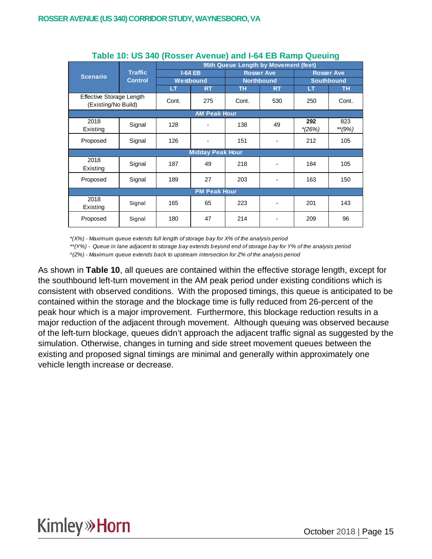|                                                 |                |       |                         |       | 95th Queue Length by Movement (feet) |                 |                   |
|-------------------------------------------------|----------------|-------|-------------------------|-------|--------------------------------------|-----------------|-------------------|
| <b>Scenario</b>                                 | <b>Traffic</b> |       | $I-64EB$                |       | <b>Rosser Ave</b>                    |                 | <b>Rosser Ave</b> |
|                                                 | <b>Control</b> |       | Westbound               |       | <b>Northbound</b>                    |                 | <b>Southbound</b> |
|                                                 |                | LТ    | <b>RT</b>               | ΤН    | <b>RT</b>                            | LT              | <b>TH</b>         |
| Effective Storage Length<br>(Existing/No Build) |                | Cont. | 275                     | Cont. | 530                                  | 250             | Cont.             |
|                                                 |                |       | <b>AM Peak Hour</b>     |       |                                      |                 |                   |
| 2018<br>Existing                                | Signal         | 128   |                         | 138   | 49                                   | 292<br>$*(26%)$ | 823<br>$*$ (9%)   |
| Proposed                                        | Signal         | 126   |                         | 151   |                                      | 212             | 105               |
|                                                 |                |       | <b>Midday Peak Hour</b> |       |                                      |                 |                   |
| 2018<br>Existing                                | Signal         | 187   | 49                      | 218   |                                      | 184             | 105               |
| Proposed                                        | Signal         | 189   | 27                      | 203   |                                      | 163             | 150               |
|                                                 |                |       | <b>PM Peak Hour</b>     |       |                                      |                 |                   |
| 2018<br>Existing                                | Signal         | 165   | 65                      | 223   |                                      | 201             | 143               |
| Proposed                                        | Signal         | 180   | 47                      | 214   |                                      | 209             | 96                |

#### **Table 10: US 340 (Rosser Avenue) and I-64 EB Ramp Queuing**

*\*(X%) - Maximum queue extends full length of storage bay for X% of the analysis period*

*\*\*(Y%) - Queue in lane adjacent to storage bay extends beyond end of storage bay for Y% of the analysis period*

*^(Z%) - Maximum queue extends back to upstream intersection for Z% of the analysis period*

As shown in **Table 10**, all queues are contained within the effective storage length, except for the southbound left-turn movement in the AM peak period under existing conditions which is consistent with observed conditions. With the proposed timings, this queue is anticipated to be contained within the storage and the blockage time is fully reduced from 26-percent of the peak hour which is a major improvement. Furthermore, this blockage reduction results in a major reduction of the adjacent through movement. Although queuing was observed because of the left-turn blockage, queues didn't approach the adjacent traffic signal as suggested by the simulation. Otherwise, changes in turning and side street movement queues between the existing and proposed signal timings are minimal and generally within approximately one vehicle length increase or decrease.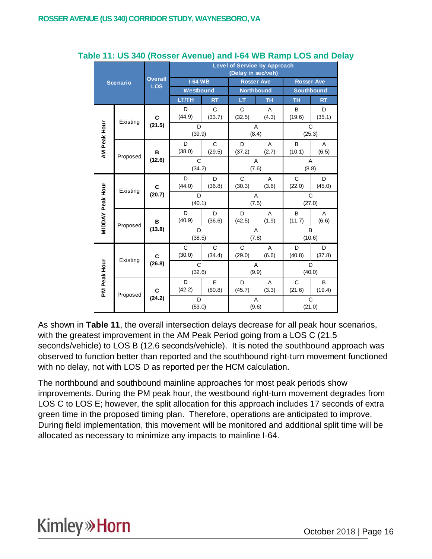|              |                              |                |                        |                        | <b>Level of Service by Approach</b><br>(Delay in sec/veh) |                         |                        |                   |  |
|--------------|------------------------------|----------------|------------------------|------------------------|-----------------------------------------------------------|-------------------------|------------------------|-------------------|--|
|              | <b>Scenario</b>              | <b>Overall</b> | <b>I-64 WB</b>         |                        | <b>Rosser Ave</b>                                         |                         | <b>Rosser Ave</b>      |                   |  |
|              |                              | <b>LOS</b>     | Westbound              |                        | <b>Northbound</b>                                         |                         |                        | <b>Southbound</b> |  |
|              |                              |                | LT/TH                  | <b>RT</b>              | LT                                                        | <b>TH</b>               | <b>TH</b>              | <b>RT</b>         |  |
|              | Existing                     | C              | D<br>(44.9)            | $\mathsf{C}$<br>(33.7) | $\mathsf{C}$<br>(32.5)                                    | A<br>(4.3)              | B<br>(19.6)            | D<br>(35.1)       |  |
|              |                              | (21.5)         | D<br>(39.9)            |                        | (8.4)                                                     | A                       |                        | C<br>(25.3)       |  |
| AM Peak Hour | Proposed                     | B              | D<br>(38.0)            | $\mathsf{C}$<br>(29.5) | D<br>(37.2)                                               | $\overline{A}$<br>(2.7) | B<br>(10.1)            | A<br>(6.5)        |  |
|              |                              | (12.6)         | $\mathsf{C}$<br>(34.2) |                        |                                                           | A<br>(7.6)              | A<br>(8.8)             |                   |  |
|              | MIDDAY Peak Hour<br>Existing | C              | D<br>(44.0)            | D<br>(36.8)            | $\mathsf{C}$<br>(30.3)                                    | $\overline{A}$<br>(3.6) | $\mathsf{C}$<br>(22.0) | D<br>(45.0)       |  |
|              |                              | (20.7)         | D<br>(40.1)            |                        |                                                           | A<br>(7.5)              |                        | C<br>(27.0)       |  |
|              |                              | B              | D<br>(40.9)            | D<br>(36.6)            | D<br>(42.5)                                               | A<br>(1.9)              | B<br>(11.7)            | A<br>(6.6)        |  |
|              | Proposed                     | (13.8)         | D<br>(38.5)            |                        | A<br>(7.8)                                                |                         | B<br>(10.6)            |                   |  |
|              | Existing                     | C              | $\mathsf{C}$<br>(30.0) | C<br>(34.4)            | C<br>(29.0)                                               | A<br>(6.6)              | D<br>(40.8)            | D<br>(37.8)       |  |
| PM Peak Hour |                              | (26.8)         | C<br>(32.6)            |                        | $\overline{A}$                                            | (9.9)                   |                        | D<br>(40.0)       |  |
|              |                              | C              | D<br>(42.2)            | E<br>(60.8)            | D<br>(45.7)                                               | $\overline{A}$<br>(3.3) | $\mathsf{C}$<br>(21.6) | B<br>(19.4)       |  |
|              | Proposed                     | (24.2)         | D<br>(53.0)            |                        | (9.6)                                                     | A                       | C<br>(21.0)            |                   |  |

#### **Table 11: US 340 (Rosser Avenue) and I-64 WB Ramp LOS and Delay**

As shown in **Table 11**, the overall intersection delays decrease for all peak hour scenarios, with the greatest improvement in the AM Peak Period going from a LOS C (21.5 seconds/vehicle) to LOS B (12.6 seconds/vehicle). It is noted the southbound approach was observed to function better than reported and the southbound right-turn movement functioned with no delay, not with LOS D as reported per the HCM calculation.

The northbound and southbound mainline approaches for most peak periods show improvements. During the PM peak hour, the westbound right-turn movement degrades from LOS C to LOS E; however, the split allocation for this approach includes 17 seconds of extra green time in the proposed timing plan. Therefore, operations are anticipated to improve. During field implementation, this movement will be monitored and additional split time will be allocated as necessary to minimize any impacts to mainline I-64.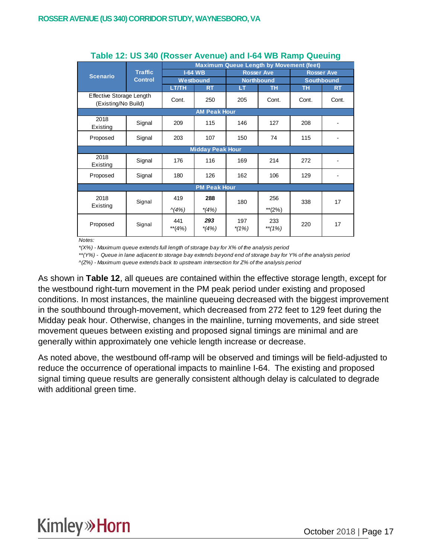|                                                 |                |                  |                         | <b>Maximum Queue Length by Movement (feet)</b> |                   |       |                              |  |  |  |
|-------------------------------------------------|----------------|------------------|-------------------------|------------------------------------------------|-------------------|-------|------------------------------|--|--|--|
| <b>Scenario</b>                                 | <b>Traffic</b> |                  | <b>I-64 WB</b>          |                                                | <b>Rosser Ave</b> |       | <b>Rosser Ave</b>            |  |  |  |
|                                                 | <b>Control</b> |                  | Westbound               |                                                | <b>Northbound</b> |       | <b>Southbound</b>            |  |  |  |
|                                                 |                | LT/TH            | <b>RT</b>               | LT.                                            | TН                | TН    | <b>RT</b>                    |  |  |  |
| Effective Storage Length<br>(Existing/No Build) |                | Cont.            | 250                     | 205                                            | Cont.             | Cont. | Cont.                        |  |  |  |
|                                                 |                |                  | <b>AM Peak Hour</b>     |                                                |                   |       |                              |  |  |  |
| 2018<br>Existing                                | Signal         | 209              | 115                     | 146                                            | 127               | 208   |                              |  |  |  |
| Proposed                                        | Signal         | 203              | 107                     | 150                                            | 74                | 115   | ۰                            |  |  |  |
|                                                 |                |                  | <b>Midday Peak Hour</b> |                                                |                   |       |                              |  |  |  |
| 2018<br>Existing                                | Signal         | 176              | 116                     | 169                                            | 214               | 272   |                              |  |  |  |
| Proposed                                        | Signal         | 180              | 126                     | 162                                            | 106               | 129   | $\qquad \qquad \blacksquare$ |  |  |  |
|                                                 |                |                  | <b>PM Peak Hour</b>     |                                                |                   |       |                              |  |  |  |
| 2018<br>Existing                                | Signal         | 419              | 288                     | 180                                            | 256               | 338   | 17                           |  |  |  |
|                                                 |                | $\wedge$ (4%)    | $*(4%)$                 |                                                | **(2%)            |       |                              |  |  |  |
| Proposed                                        | Signal         | 441<br>$**$ (4%) | 293<br>$*(4%)$          | 197<br>*(1%)                                   | 233<br>**(1%)     | 220   | 17                           |  |  |  |

#### **Table 12: US 340 (Rosser Avenue) and I-64 WB Ramp Queuing**

*Notes:*

*\*(X%) - Maximum queue extends full length of storage bay for X% of the analysis period*

*\*\*(Y%) - Queue in lane adjacent to storage bay extends beyond end of storage bay for Y% of the analysis period ^(Z%) - Maximum queue extends back to upstream intersection for Z% of the analysis period*

As shown in **Table 12**, all queues are contained within the effective storage length, except for the westbound right-turn movement in the PM peak period under existing and proposed conditions. In most instances, the mainline queueing decreased with the biggest improvement in the southbound through-movement, which decreased from 272 feet to 129 feet during the Midday peak hour. Otherwise, changes in the mainline, turning movements, and side street movement queues between existing and proposed signal timings are minimal and are generally within approximately one vehicle length increase or decrease.

As noted above, the westbound off-ramp will be observed and timings will be field-adjusted to reduce the occurrence of operational impacts to mainline I-64. The existing and proposed signal timing queue results are generally consistent although delay is calculated to degrade with additional green time.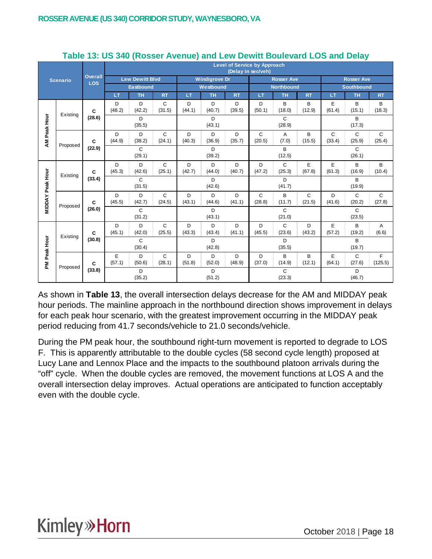|                         |                 |                              |             |                        |                        |             |                      |             | <b>Level of Service by Approach</b><br>(Delay in sec/veh) |                        |             |                            |                        |                        |
|-------------------------|-----------------|------------------------------|-------------|------------------------|------------------------|-------------|----------------------|-------------|-----------------------------------------------------------|------------------------|-------------|----------------------------|------------------------|------------------------|
|                         | <b>Scenario</b> | <b>Overall</b><br><b>LOS</b> |             | <b>Lew Dewitt Blvd</b> |                        |             | <b>Windigrove Dr</b> |             |                                                           | <b>Rosser Ave</b>      |             |                            | <b>Rosser Ave</b>      |                        |
|                         |                 |                              |             | Eastbound              |                        |             | Westbound            |             |                                                           | <b>Northbound</b>      |             |                            | <b>Southbound</b>      |                        |
|                         |                 |                              | LT          | <b>TH</b>              | <b>RT</b>              | LT          | <b>TH</b>            | <b>RT</b>   | LT                                                        | <b>TH</b>              | <b>RT</b>   | LT                         | <b>TH</b>              | RT                     |
|                         |                 |                              | D           | D                      | C                      | D           | D                    | D           | D                                                         | B                      | B           | Е                          | B                      | В                      |
|                         | Existing        | C                            | (48.2)      | (42.2)                 | (31.5)                 | (44.1)      | (40.7)               | (39.5)      | (50.1)                                                    | (18.0)                 | (12.9)      | (61.4)<br>(15.1)<br>(18.3) |                        |                        |
| AM Peak Hour            |                 | (28.6)                       |             | D<br>(35.5)            |                        |             | D<br>(43.1)          |             |                                                           | $\mathsf{C}$<br>(28.9) |             |                            | B<br>(17.3)            |                        |
|                         |                 |                              | D           | D                      | $\mathsf{C}$           | D           | D                    | D           | $\mathsf{C}$                                              | Α                      | B           | $\mathsf{C}$               | $\mathsf{C}$           | $\mathsf{C}$           |
|                         | Proposed        | C                            | (44.9)      | (38.2)                 | (24.1)                 | (40.3)      | (36.9)               | (35.7)      | (20.5)                                                    | (7.0)                  | (15.5)      | (33.4)                     | (25.9)                 | (25.4)                 |
|                         |                 | (22.9)                       |             | $\mathsf{C}$           |                        |             | D.                   |             |                                                           | $\mathsf{B}$           |             |                            | $\mathsf{C}$           |                        |
|                         |                 |                              | (29.1)      |                        |                        | (39.2)      |                      |             | (12.5)                                                    |                        |             | (26.1)                     |                        |                        |
|                         | Existing        | C                            | D<br>(45.3) | D<br>(42.6)            | $\mathsf{C}$<br>(25.1) | D<br>(42.7) | D<br>(44.0)          | D<br>(40.7) | D<br>(47.2)                                               | $\mathsf{C}$<br>(25.3) | E<br>(67.8) | E<br>(61.3)                | B<br>(16.9)            | B<br>(10.4)            |
|                         |                 | (33.4)                       |             | $\mathsf{C}$           |                        |             | D                    |             |                                                           | D                      |             |                            | B                      |                        |
|                         |                 |                              |             | (31.5)                 |                        |             | (42.6)               |             |                                                           | (41.7)                 |             |                            | (19.9)                 |                        |
| <b>MIDDAY Peak Hour</b> |                 | C                            | D<br>(45.5) | D<br>(42.7)            | $\mathsf{C}$<br>(24.5) | D<br>(43.1) | D<br>(44.6)          | D<br>(41.1) | $\mathsf{C}$<br>(28.8)                                    | B<br>(11.7)            | C<br>(21.5) | D<br>(41.6)                | $\mathsf{C}$<br>(20.2) | $\mathsf{C}$<br>(27.8) |
|                         | Proposed        | (26.0)                       |             | $\mathsf{C}$           |                        |             | D                    |             |                                                           | $\mathsf{C}$           |             |                            | $\mathsf{C}$           |                        |
|                         |                 |                              |             | (31.2)                 |                        |             | (43.1)               |             |                                                           | (21.0)                 |             |                            | (23.5)                 |                        |
|                         |                 |                              | D           | D                      | $\mathsf{C}$           | D           | D                    | D           | D                                                         | $\mathsf{C}$           | D           | E                          | B                      | Α                      |
|                         | Existing        | C<br>(30.8)                  | (45.1)      | (42.0)                 | (25.5)                 | (43.3)      | (43.4)               | (41.1)      | (45.5)                                                    | (23.6)                 | (43.2)      | (57.2)                     | (19.2)                 | (6.6)                  |
| Peak Hour               |                 |                              |             | $\mathsf{C}$<br>(30.4) |                        |             | D<br>(42.8)          |             |                                                           | D<br>(35.5)            |             |                            | B<br>(19.7)            |                        |
|                         |                 |                              | E           | D                      | C                      | D           | D                    | D           | D                                                         | B                      | B           | E                          | C                      | F                      |
| ΜĀ                      |                 | C                            | (57.1)      | (50.6)                 | (28.1)                 | (51.8)      | (52.0)               | (48.9)      | (37.0)                                                    | (14.9)                 | (12.1)      | (64.1)                     | (27.6)                 | (125.5)                |
|                         | Proposed        | (33.8)                       |             | D                      |                        |             | D                    |             |                                                           | C                      |             |                            | D                      |                        |
|                         |                 |                              |             | (35.2)                 |                        |             | (51.2)               |             |                                                           | (23.3)                 |             |                            | (46.7)                 |                        |

#### **Table 13: US 340 (Rosser Avenue) and Lew Dewitt Boulevard LOS and Delay**

As shown in **Table 13**, the overall intersection delays decrease for the AM and MIDDAY peak hour periods. The mainline approach in the northbound direction shows improvement in delays for each peak hour scenario, with the greatest improvement occurring in the MIDDAY peak period reducing from 41.7 seconds/vehicle to 21.0 seconds/vehicle.

During the PM peak hour, the southbound right-turn movement is reported to degrade to LOS F. This is apparently attributable to the double cycles (58 second cycle length) proposed at Lucy Lane and Lennox Place and the impacts to the southbound platoon arrivals during the "off" cycle. When the double cycles are removed, the movement functions at LOS A and the overall intersection delay improves. Actual operations are anticipated to function acceptably even with the double cycle.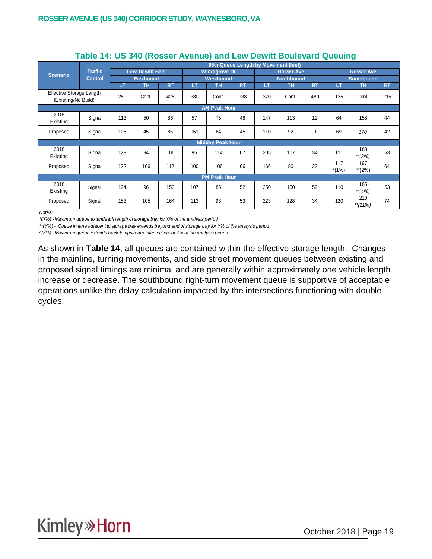|                                                 |                |     |                        |           |     |                         | 95th Queue Length by Movement (feet) |     |                   |           |                |                   |           |
|-------------------------------------------------|----------------|-----|------------------------|-----------|-----|-------------------------|--------------------------------------|-----|-------------------|-----------|----------------|-------------------|-----------|
| <b>Scenario</b>                                 | <b>Traffic</b> |     | <b>Lew Dewitt Blvd</b> |           |     | <b>Windigrove Dr</b>    |                                      |     | <b>Rosser Ave</b> |           |                | <b>Rosser Ave</b> |           |
|                                                 | <b>Control</b> |     | <b>Eastbound</b>       |           |     | Westbound               |                                      |     | <b>Northbound</b> |           |                | <b>Southbound</b> |           |
|                                                 |                | LТ  | <b>TH</b>              | <b>RT</b> | LT  | <b>TH</b>               | <b>RT</b>                            | LT  | <b>TH</b>         | <b>RT</b> | LT             | <b>TH</b>         | <b>RT</b> |
| Effective Storage Length<br>(Existing/No Build) |                | 250 | Cont.                  | 425       | 380 | Cont.                   | 138                                  | 370 | Cont.             | 480       | 135            | Cont.             | 215       |
| <b>AM Peak Hour</b>                             |                |     |                        |           |     |                         |                                      |     |                   |           |                |                   |           |
| 2018<br>Existing                                | Signal         | 113 | 50                     | 86        | 57  | 75                      | 48                                   | 147 | 113               | 12        | 64             | 158               | 44        |
| Proposed                                        | Signal         | 106 | 45                     | 86        | 151 | 64                      | 45                                   | 110 | 92                | 9         | 69             | 170               | 42        |
|                                                 |                |     |                        |           |     | <b>Midday Peak Hour</b> |                                      |     |                   |           |                |                   |           |
| 2018<br>Existing                                | Signal         | 129 | 94                     | 106       | 95  | 114                     | 67                                   | 205 | 107               | 34        | 111            | 188<br>$**$ (3%)  | 53        |
| Proposed                                        | Signal         | 122 | 106                    | 117       | 100 | 106                     | 66                                   | 166 | 80                | 23        | 117<br>$*(1%)$ | 167<br>$**$ (2%)  | 64        |
|                                                 |                |     |                        |           |     | <b>PM Peak Hour</b>     |                                      |     |                   |           |                |                   |           |
| 2018<br>Existing                                | Signal         | 124 | 96                     | 150       | 107 | 85                      | 52                                   | 250 | 160               | 52        | 110            | 185<br>$**(4%)$   | 53        |
| Proposed                                        | Signal         | 153 | 105                    | 164       | 113 | 93                      | 53                                   | 223 | 128               | 34        | 120            | 210<br>$**$ (11%) | 74        |

#### **Table 14: US 340 (Rosser Avenue) and Lew Dewitt Boulevard Queuing**

*Notes:*

*\*(X%) - Maximum queue extends full length of storage bay for X% of the analysis period*

*\*\*(Y%) - Queue in lane adjacent to storage bay extends beyond end of storage bay for Y% of the analysis period*

*^(Z%) - Maximum queue extends back to upstream intersection for Z% of the analysis period*

As shown in **Table 14**, all queues are contained within the effective storage length. Changes in the mainline, turning movements, and side street movement queues between existing and proposed signal timings are minimal and are generally within approximately one vehicle length increase or decrease. The southbound right-turn movement queue is supportive of acceptable operations unlike the delay calculation impacted by the intersections functioning with double cycles.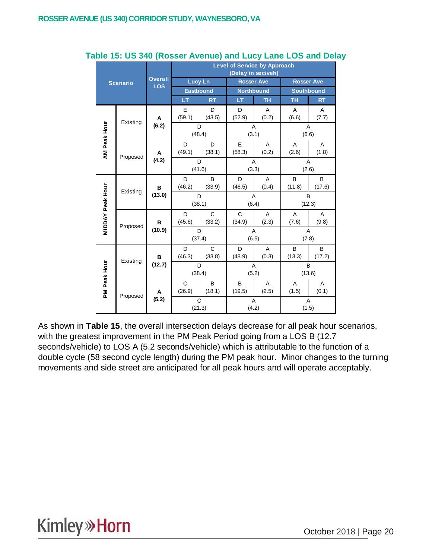|              |                                     |                              |                        |                        | <b>Level of Service by Approach</b><br>(Delay in sec/veh) |            |                   |             |  |
|--------------|-------------------------------------|------------------------------|------------------------|------------------------|-----------------------------------------------------------|------------|-------------------|-------------|--|
|              | <b>Scenario</b>                     | <b>Overall</b><br><b>LOS</b> | <b>Lucy Ln</b>         |                        | <b>Rosser Ave</b>                                         |            | <b>Rosser Ave</b> |             |  |
|              |                                     |                              | <b>Eastbound</b>       |                        | <b>Northbound</b>                                         |            | <b>Southbound</b> |             |  |
|              |                                     |                              | LT                     | <b>RT</b>              | LT                                                        | <b>TH</b>  | TH                | <b>RT</b>   |  |
|              | Existing                            | A                            | E<br>(59.1)            | D<br>(43.5)            | D<br>(52.9)                                               | A<br>(0.2) | A<br>(6.6)        | Α<br>(7.7)  |  |
|              |                                     | (6.2)                        | D<br>(48.4)            |                        | A<br>(3.1)                                                |            | A<br>(6.6)        |             |  |
| AM Peak Hour | Proposed                            | Α                            | D<br>(49.1)            | D<br>(38.1)            | E<br>(58.3)                                               | A<br>(0.2) | A<br>(2.6)        | A<br>(1.8)  |  |
|              |                                     | (4.2)                        | D<br>(41.6)            |                        | A<br>(3.3)                                                |            | Α<br>(2.6)        |             |  |
|              | <b>MIDDAY Peak Hour</b><br>Existing | B                            | D<br>(46.2)            | B<br>(33.9)            | D<br>(46.5)                                               | A<br>(0.4) | B<br>(11.8)       | B<br>(17.6) |  |
|              |                                     | (13.0)                       | D<br>(38.1)            |                        | A<br>(6.4)                                                |            | B<br>(12.3)       |             |  |
|              | Proposed                            | B                            | D<br>(45.6)            | C<br>(33.2)            | C<br>(34.9)                                               | A<br>(2.3) | A<br>(7.6)        | A<br>(9.8)  |  |
|              |                                     | (10.9)                       | D<br>(37.4)            |                        | A<br>(6.5)                                                |            | A<br>(7.8)        |             |  |
|              | Existing                            | B                            | D<br>(46.3)            | C<br>(33.8)            | D<br>(48.9)                                               | A<br>(0.3) | B<br>(13.3)       | B<br>(17.2) |  |
| PM Peak Hour |                                     | (12.7)                       | D<br>(38.4)            |                        | A<br>(5.2)                                                |            | B<br>(13.6)       |             |  |
|              |                                     | A                            | $\mathsf{C}$<br>(26.9) | B<br>(18.1)            | B<br>(19.5)                                               | A<br>(2.5) | Α<br>(1.5)        | A<br>(0.1)  |  |
|              | Proposed                            | (5.2)                        |                        | $\mathsf{C}$<br>(21.3) | A<br>(4.2)                                                |            | A<br>(1.5)        |             |  |

#### **Table 15: US 340 (Rosser Avenue) and Lucy Lane LOS and Delay**

As shown in **Table 15**, the overall intersection delays decrease for all peak hour scenarios, with the greatest improvement in the PM Peak Period going from a LOS B (12.7 seconds/vehicle) to LOS A (5.2 seconds/vehicle) which is attributable to the function of a double cycle (58 second cycle length) during the PM peak hour. Minor changes to the turning movements and side street are anticipated for all peak hours and will operate acceptably.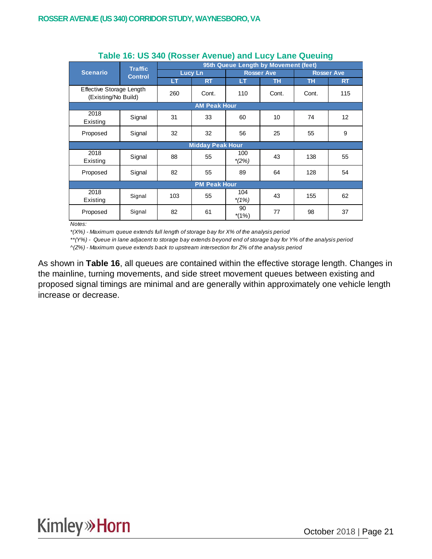|                                                 | <b>Traffic</b> |     |                         | 95th Queue Length by Movement (feet) |                   |           |                   |
|-------------------------------------------------|----------------|-----|-------------------------|--------------------------------------|-------------------|-----------|-------------------|
| <b>Scenario</b>                                 | <b>Control</b> |     | Lucy Ln                 |                                      | <b>Rosser Ave</b> |           | <b>Rosser Ave</b> |
|                                                 |                | LT  | <b>RT</b>               | LT                                   | <b>TH</b>         | <b>TH</b> | <b>RT</b>         |
| Effective Storage Length<br>(Existing/No Build) |                | 260 | Cont.                   | 110                                  | Cont.             | Cont.     | 115               |
|                                                 |                |     | <b>AM Peak Hour</b>     |                                      |                   |           |                   |
| 2018<br>Existing                                | Signal         | 31  | 33                      | 60                                   | 10                | 74        | 12                |
| Proposed                                        | Signal         | 32  | 32                      | 56                                   | 25                | 55        | 9                 |
|                                                 |                |     | <b>Midday Peak Hour</b> |                                      |                   |           |                   |
| 2018<br>Existing                                | Signal         | 88  | 55                      | 100<br>$*(2%)$                       | 43                | 138       | 55                |
| Proposed                                        | Signal         | 82  | 55                      | 89                                   | 64                | 128       | 54                |
|                                                 |                |     | <b>PM Peak Hour</b>     |                                      |                   |           |                   |
| 2018<br>Existing                                | Signal         | 103 | 55                      | 104<br>$*(1%)$                       | 43                | 155       | 62                |
| Proposed                                        | Signal         | 82  | 61                      | 90<br>$*(1%)$                        | 77                | 98        | 37                |

#### **Table 16: US 340 (Rosser Avenue) and Lucy Lane Queuing**

*Notes:*

*\*(X%) - Maximum queue extends full length of storage bay for X% of the analysis period*

*\*\*(Y%) - Queue in lane adjacent to storage bay extends beyond end of storage bay for Y% of the analysis period ^(Z%) - Maximum queue extends back to upstream intersection for Z% of the analysis period*

As shown in **Table 16**, all queues are contained within the effective storage length. Changes in the mainline, turning movements, and side street movement queues between existing and proposed signal timings are minimal and are generally within approximately one vehicle length increase or decrease.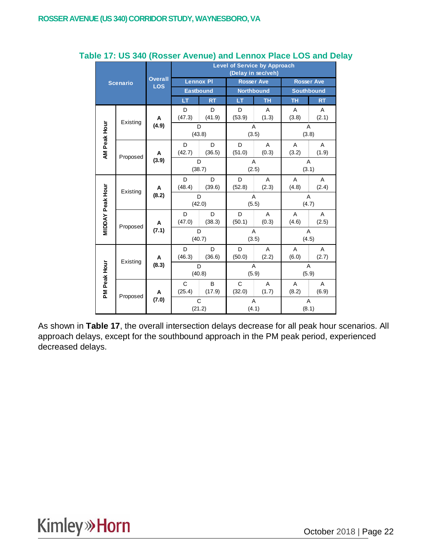|                         |                          |                |                       |                  | <b>Level of Service by Approach</b> | (Delay in sec/veh) |                         |                   |
|-------------------------|--------------------------|----------------|-----------------------|------------------|-------------------------------------|--------------------|-------------------------|-------------------|
|                         | <b>Scenario</b>          | <b>Overall</b> |                       | <b>Lennox PI</b> | <b>Rosser Ave</b>                   |                    |                         | <b>Rosser Ave</b> |
|                         |                          | <b>LOS</b>     | Eastbound             |                  | <b>Northbound</b>                   |                    | <b>Southbound</b>       |                   |
|                         |                          |                | LT                    | <b>RT</b>        | LT                                  | <b>TH</b>          | <b>TH</b>               | <b>RT</b>         |
|                         | Existing                 | A              | D<br>(47.3)           | D<br>(41.9)      | D<br>(53.9)                         | A<br>(1.3)         | A<br>(3.8)              | A<br>(2.1)        |
|                         |                          | (4.9)          | D<br>(43.8)           |                  | A<br>(3.5)                          |                    | A<br>(3.8)              |                   |
|                         | AM Peak Hour<br>Proposed | A              | D<br>(42.7)           | D<br>(36.5)      | D<br>(51.0)                         | A<br>(0.3)         | A<br>(3.2)              | A<br>(1.9)        |
|                         |                          | (3.9)          | D<br>(38.7)           |                  | A<br>(2.5)                          |                    | $\overline{A}$<br>(3.1) |                   |
|                         | Existing                 | Α              | D<br>(48.4)           | D<br>(39.6)      | D<br>(52.8)                         | A<br>(2.3)         | A<br>(4.8)              | A<br>(2.4)        |
|                         |                          | (8.2)          | D<br>(42.0)           |                  | A<br>(5.5)                          |                    | A<br>(4.7)              |                   |
| <b>MIDDAY Peak Hour</b> | Proposed                 | A              | D<br>(47.0)           | D<br>(38.3)      | D<br>(50.1)                         | A<br>(0.3)         | A<br>(4.6)              | A<br>(2.5)        |
|                         |                          | (7.1)          | D<br>(40.7)           |                  | A<br>(3.5)                          |                    | A<br>(4.5)              |                   |
|                         | Existing                 | A              | D<br>(46.3)           | D<br>(36.6)      | D<br>(50.0)                         | A<br>(2.2)         | A<br>(6.0)              | A<br>(2.7)        |
|                         |                          | (8.3)          | D                     | (40.8)           | A<br>(5.9)                          |                    | A<br>(5.9)              |                   |
| PM Peak Hour            |                          | Α              | $\mathbf C$<br>(25.4) | B<br>(17.9)      | $\mathsf{C}$<br>(32.0)              | A<br>(1.7)         | A<br>(8.2)              | A<br>(6.9)        |
|                         | Proposed                 | (7.0)          | C<br>(21.2)           |                  | A<br>(4.1)                          |                    | A<br>(8.1)              |                   |

#### **Table 17: US 340 (Rosser Avenue) and Lennox Place LOS and Delay**

As shown in **Table 17**, the overall intersection delays decrease for all peak hour scenarios. All approach delays, except for the southbound approach in the PM peak period, experienced decreased delays.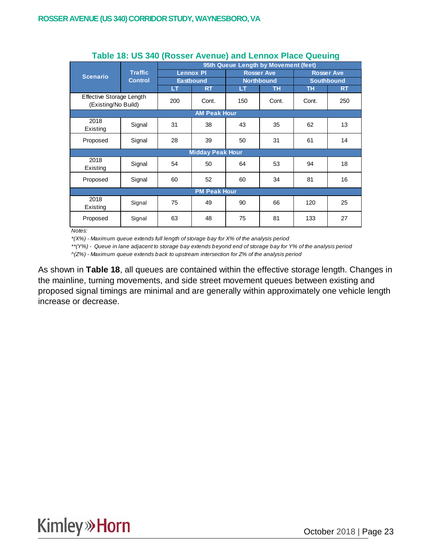|                                                 |                |     |                         | 95th Queue Length by Movement (feet) |                   |       |                   |
|-------------------------------------------------|----------------|-----|-------------------------|--------------------------------------|-------------------|-------|-------------------|
| <b>Scenario</b>                                 | <b>Traffic</b> |     | <b>Lennox PI</b>        |                                      | <b>Rosser Ave</b> |       | <b>Rosser Ave</b> |
|                                                 | <b>Control</b> |     | <b>Eastbound</b>        |                                      | <b>Northbound</b> |       | <b>Southbound</b> |
|                                                 |                | LТ  | <b>RT</b>               | LТ                                   | ΤН                | TН    | <b>RT</b>         |
| Effective Storage Length<br>(Existing/No Build) |                | 200 | Cont.                   | 150                                  | Cont.             | Cont. | 250               |
|                                                 |                |     | <b>AM Peak Hour</b>     |                                      |                   |       |                   |
| 2018<br>Existing                                | Signal         | 31  | 38                      | 43                                   | 35                | 62    | 13                |
| Proposed                                        | Signal         | 28  | 39                      | 50                                   | 31                | 61    | 14                |
|                                                 |                |     | <b>Midday Peak Hour</b> |                                      |                   |       |                   |
| 2018<br>Existing                                | Signal         | 54  | 50                      | 64                                   | 53                | 94    | 18                |
| Proposed                                        | Signal         | 60  | 52                      | 60                                   | 34                | 81    | 16                |
|                                                 |                |     | <b>PM Peak Hour</b>     |                                      |                   |       |                   |
| 2018<br>Existing                                | Signal         | 75  | 49                      | 90                                   | 66                | 120   | 25                |
| Proposed                                        | Signal         | 63  | 48                      | 75                                   | 81                | 133   | 27                |

#### **Table 18: US 340 (Rosser Avenue) and Lennox Place Queuing**

*Notes:*

*\*(X%) - Maximum queue extends full length of storage bay for X% of the analysis period*

*\*\*(Y%) - Queue in lane adjacent to storage bay extends beyond end of storage bay for Y% of the analysis period*

*^(Z%) - Maximum queue extends back to upstream intersection for Z% of the analysis period*

As shown in **Table 18**, all queues are contained within the effective storage length. Changes in the mainline, turning movements, and side street movement queues between existing and proposed signal timings are minimal and are generally within approximately one vehicle length increase or decrease.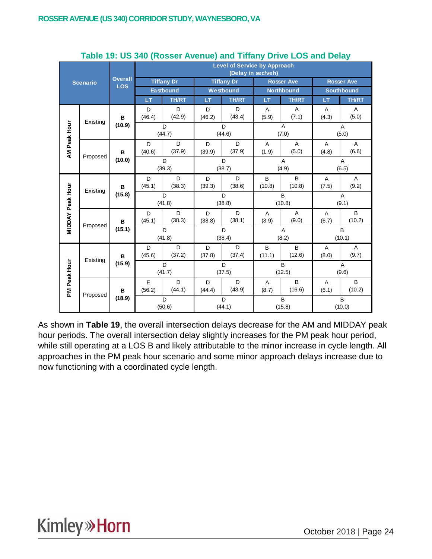|                         |                 |                              |             |                   |             | <b>Level of Service by Approach</b> | (Delay in sec/veh)      |                         |            |                         |
|-------------------------|-----------------|------------------------------|-------------|-------------------|-------------|-------------------------------------|-------------------------|-------------------------|------------|-------------------------|
|                         | <b>Scenario</b> | <b>Overall</b><br><b>LOS</b> |             | <b>Tiffany Dr</b> |             | <b>Tiffany Dr</b>                   |                         | <b>Rosser Ave</b>       |            | <b>Rosser Ave</b>       |
|                         |                 |                              |             | <b>Eastbound</b>  |             | Westbound                           |                         | <b>Northbound</b>       |            | <b>Southbound</b>       |
|                         |                 |                              | LT          | <b>TH/RT</b>      | LТ          | <b>TH/RT</b>                        | LT.                     | <b>TH/RT</b>            | LT         | <b>TH/RT</b>            |
|                         | Existing        | в                            | D<br>(46.4) | D<br>(42.9)       | D<br>(46.2) | D<br>(43.4)                         | A<br>(5.9)              | Α<br>(7.1)              | A<br>(4.3) | A<br>(5.0)              |
|                         |                 | (10.9)                       | D<br>(44.7) |                   | D<br>(44.6) |                                     | A<br>(7.0)              |                         |            | A<br>(5.0)              |
| AM Peak Hour            | Proposed        | B                            | D<br>(40.6) | D<br>(37.9)       | D<br>(39.9) | D<br>(37.9)                         | $\overline{A}$<br>(1.9) | $\overline{A}$<br>(5.0) | Α<br>(4.8) | $\overline{A}$<br>(6.6) |
|                         |                 | (10.0)                       | D<br>(39.3) |                   |             | D<br>(38.7)                         |                         | A<br>(4.9)              |            | $\overline{A}$<br>(6.5) |
|                         | Existing        | в<br>(15.8)                  | D<br>(45.1) | D<br>(38.3)       | D<br>(39.3) | D<br>(38.6)                         | B<br>(10.8)             | B<br>(10.8)             | A<br>(7.5) | $\overline{A}$<br>(9.2) |
|                         |                 |                              |             | D<br>(41.8)       |             | D<br>(38.8)                         |                         | B<br>(10.8)             |            | A<br>(9.1)              |
| <b>MIDDAY Peak Hour</b> | Proposed        | в                            | D<br>(45.1) | D<br>(38.3)       | D<br>(38.8) | D<br>(38.1)                         | A<br>(3.9)              | A<br>(9.0)              | A<br>(6.7) | B<br>(10.2)             |
|                         |                 | (15.1)                       |             | D<br>(41.8)       |             | D<br>(38.4)                         |                         | A<br>(8.2)              |            | B<br>(10.1)             |
|                         | Existing        | В                            | D<br>(45.6) | D<br>(37.2)       | D<br>(37.8) | D<br>(37.4)                         | B<br>(11.1)             | B<br>(12.6)             | A<br>(8.0) | A<br>(9.7)              |
|                         |                 | (15.9)                       |             | D<br>(41.7)       |             | D<br>(37.5)                         |                         | B<br>(12.5)             |            | Α<br>(9.6)              |
| PM Peak Hour            | Proposed        | В                            | E<br>(56.2) | D<br>(44.1)       | D<br>(44.4) | D<br>(43.9)                         | A<br>(8.7)              | B<br>(16.6)             | A<br>(6.1) | B<br>(10.2)             |
|                         |                 | (18.9)                       |             | D<br>(50.6)       |             | D<br>(44.1)                         |                         | B<br>(15.8)             |            | B<br>(10.0)             |

#### **Table 19: US 340 (Rosser Avenue) and Tiffany Drive LOS and Delay**

As shown in **Table 19**, the overall intersection delays decrease for the AM and MIDDAY peak hour periods. The overall intersection delay slightly increases for the PM peak hour period, while still operating at a LOS B and likely attributable to the minor increase in cycle length. All approaches in the PM peak hour scenario and some minor approach delays increase due to now functioning with a coordinated cycle length.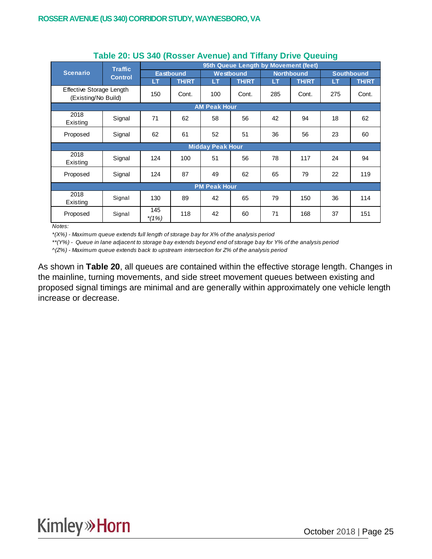|                                                 |                |                |                  |                         |                                      |     |                   | ັ   |                   |
|-------------------------------------------------|----------------|----------------|------------------|-------------------------|--------------------------------------|-----|-------------------|-----|-------------------|
|                                                 | <b>Traffic</b> |                |                  |                         | 95th Queue Length by Movement (feet) |     |                   |     |                   |
| <b>Scenario</b>                                 | <b>Control</b> |                | <b>Eastbound</b> |                         | Westbound                            |     | <b>Northbound</b> |     | <b>Southbound</b> |
|                                                 |                | LT             | <b>TH/RT</b>     | LT                      | <b>TH/RT</b>                         | LT  | <b>TH/RT</b>      | LT  | <b>TH/RT</b>      |
| Effective Storage Length<br>(Existing/No Build) |                | 150            | Cont.            | 100                     | Cont.                                | 285 | Cont.             | 275 | Cont.             |
|                                                 |                |                |                  | <b>AM Peak Hour</b>     |                                      |     |                   |     |                   |
| 2018<br>Existing                                | Signal         | 71             | 62               | 58                      | 56                                   | 42  | 94                | 18  | 62                |
| Proposed                                        | Signal         | 62             | 61               | 52                      | 51                                   | 36  | 56                | 23  | 60                |
|                                                 |                |                |                  | <b>Midday Peak Hour</b> |                                      |     |                   |     |                   |
| 2018<br>Existing                                | Signal         | 124            | 100              | 51                      | 56                                   | 78  | 117               | 24  | 94                |
| Proposed                                        | Signal         | 124            | 87               | 49                      | 62                                   | 65  | 79                | 22  | 119               |
|                                                 |                |                |                  | <b>PM Peak Hour</b>     |                                      |     |                   |     |                   |
| 2018<br>Existing                                | Signal         | 130            | 89               | 42                      | 65                                   | 79  | 150               | 36  | 114               |
| Proposed                                        | Signal         | 145<br>$*(1%)$ | 118              | 42                      | 60                                   | 71  | 168               | 37  | 151               |

#### **Table 20: US 340 (Rosser Avenue) and Tiffany Drive Queuing**

*Notes:*

*\*(X%) - Maximum queue extends full length of storage bay for X% of the analysis period*

*\*\*(Y%) - Queue in lane adjacent to storage bay extends beyond end of storage bay for Y% of the analysis period*

*^(Z%) - Maximum queue extends back to upstream intersection for Z% of the analysis period*

As shown in **Table 20**, all queues are contained within the effective storage length. Changes in the mainline, turning movements, and side street movement queues between existing and proposed signal timings are minimal and are generally within approximately one vehicle length increase or decrease.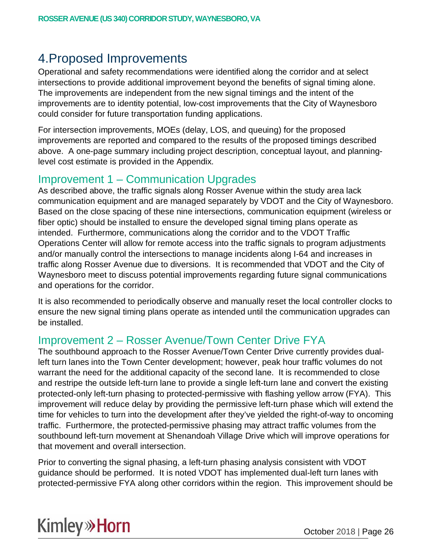## 4.Proposed Improvements

Operational and safety recommendations were identified along the corridor and at select intersections to provide additional improvement beyond the benefits of signal timing alone. The improvements are independent from the new signal timings and the intent of the improvements are to identity potential, low-cost improvements that the City of Waynesboro could consider for future transportation funding applications.

For intersection improvements, MOEs (delay, LOS, and queuing) for the proposed improvements are reported and compared to the results of the proposed timings described above. A one-page summary including project description, conceptual layout, and planninglevel cost estimate is provided in the Appendix.

### Improvement 1 – Communication Upgrades

As described above, the traffic signals along Rosser Avenue within the study area lack communication equipment and are managed separately by VDOT and the City of Waynesboro. Based on the close spacing of these nine intersections, communication equipment (wireless or fiber optic) should be installed to ensure the developed signal timing plans operate as intended. Furthermore, communications along the corridor and to the VDOT Traffic Operations Center will allow for remote access into the traffic signals to program adjustments and/or manually control the intersections to manage incidents along I-64 and increases in traffic along Rosser Avenue due to diversions. It is recommended that VDOT and the City of Waynesboro meet to discuss potential improvements regarding future signal communications and operations for the corridor.

It is also recommended to periodically observe and manually reset the local controller clocks to ensure the new signal timing plans operate as intended until the communication upgrades can be installed.

### Improvement 2 – Rosser Avenue/Town Center Drive FYA

The southbound approach to the Rosser Avenue/Town Center Drive currently provides dualleft turn lanes into the Town Center development; however, peak hour traffic volumes do not warrant the need for the additional capacity of the second lane. It is recommended to close and restripe the outside left-turn lane to provide a single left-turn lane and convert the existing protected-only left-turn phasing to protected-permissive with flashing yellow arrow (FYA). This improvement will reduce delay by providing the permissive left-turn phase which will extend the time for vehicles to turn into the development after they've yielded the right-of-way to oncoming traffic. Furthermore, the protected-permissive phasing may attract traffic volumes from the southbound left-turn movement at Shenandoah Village Drive which will improve operations for that movement and overall intersection.

Prior to converting the signal phasing, a left-turn phasing analysis consistent with VDOT guidance should be performed. It is noted VDOT has implemented dual-left turn lanes with protected-permissive FYA along other corridors within the region. This improvement should be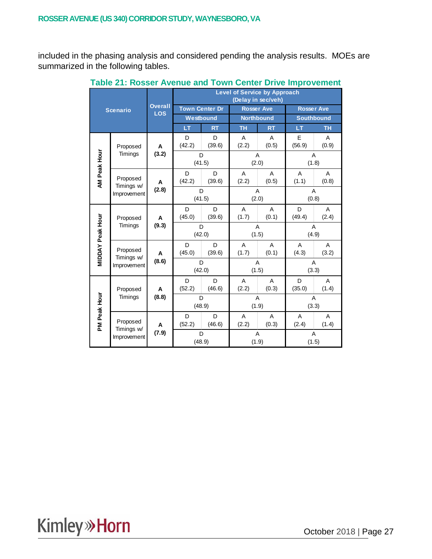included in the phasing analysis and considered pending the analysis results. MOEs are summarized in the following tables.

|                  |                           |                              | <b>Level of Service by Approach</b><br>(Delay in sec/veh) |             |            |                   |                   |            |  |  |
|------------------|---------------------------|------------------------------|-----------------------------------------------------------|-------------|------------|-------------------|-------------------|------------|--|--|
|                  | <b>Scenario</b>           | <b>Overall</b><br><b>LOS</b> | <b>Town Center Dr</b>                                     |             |            | <b>Rosser Ave</b> | <b>Rosser Ave</b> |            |  |  |
|                  |                           |                              |                                                           | Westbound   |            | <b>Northbound</b> | <b>Southbound</b> |            |  |  |
|                  |                           |                              | LT                                                        | <b>RT</b>   | <b>TH</b>  | <b>RT</b>         | LT                | <b>TH</b>  |  |  |
|                  | Proposed                  | Α                            | D<br>(42.2)                                               | D<br>(39.6) | A<br>(2.2) | A<br>(0.5)        | E<br>(56.9)       | A<br>(0.9) |  |  |
|                  | Timings                   | (3.2)                        | D                                                         | (41.5)      |            | A<br>(2.0)        | A<br>(1.8)        |            |  |  |
| AM Peak Hour     | Proposed<br>Timings w/    | Α                            | D<br>(42.2)                                               | D<br>(39.6) | A<br>(2.2) | A<br>(0.5)        | A<br>(1.1)        | A<br>(0.8) |  |  |
|                  | Improvement               | (2.8)                        | D<br>(41.5)                                               |             | A<br>(2.0) |                   | A<br>(0.8)        |            |  |  |
|                  | Proposed<br>Timings       | A                            | D<br>(45.0)                                               | D<br>(39.6) | A<br>(1.7) | A<br>(0.1)        | D<br>(49.4)       | A<br>(2.4) |  |  |
|                  |                           | (9.3)                        | D<br>(42.0)                                               |             |            | A<br>(1.5)        | A<br>(4.9)        |            |  |  |
| MIDDAY Peak Hour | Proposed                  | A                            | D<br>(45.0)                                               | D<br>(39.6) | A<br>(1.7) | A<br>(0.1)        | A<br>(4.3)        | A<br>(3.2) |  |  |
|                  | Timings w/<br>Improvement | (8.6)                        | D<br>(42.0)                                               |             | A<br>(1.5) |                   | A<br>(3.3)        |            |  |  |
|                  | Proposed                  | A                            | D<br>(52.2)                                               | D<br>(46.6) | A<br>(2.2) | A<br>(0.3)        | D<br>(35.0)       | A<br>(1.4) |  |  |
|                  | Timings                   | (8.8)                        |                                                           | D<br>(48.9) |            | A<br>(1.9)        | A<br>(3.3)        |            |  |  |
| PM Peak Hour     | Proposed                  | A                            | D<br>(52.2)                                               | D<br>(46.6) | A<br>(2.2) | A<br>(0.3)        | A<br>(2.4)        | A<br>(1.4) |  |  |
|                  | Timings w/<br>Improvement | (7.9)                        | D<br>(48.9)                                               |             |            | A<br>(1.9)        | A<br>(1.5)        |            |  |  |

**Table 21: Rosser Avenue and Town Center Drive Improvement**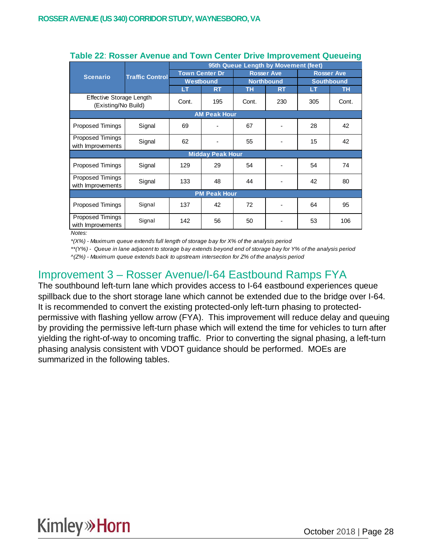|                                                 |                        | 95th Queue Length by Movement (feet) |                         |       |                   |                                        |           |  |  |  |
|-------------------------------------------------|------------------------|--------------------------------------|-------------------------|-------|-------------------|----------------------------------------|-----------|--|--|--|
| <b>Scenario</b>                                 | <b>Traffic Control</b> | <b>Town Center Dr</b><br>Westbound   |                         |       | <b>Rosser Ave</b> | <b>Rosser Ave</b><br><b>Southbound</b> |           |  |  |  |
|                                                 |                        |                                      |                         |       | <b>Northbound</b> |                                        |           |  |  |  |
|                                                 |                        | LT                                   | <b>RT</b>               | TН    | <b>RT</b>         | LT                                     | <b>TH</b> |  |  |  |
| Effective Storage Length<br>(Existing/No Build) |                        | Cont.                                | 195                     | Cont. | 230               | 305                                    | Cont.     |  |  |  |
|                                                 | <b>AM Peak Hour</b>    |                                      |                         |       |                   |                                        |           |  |  |  |
| Proposed Timings                                | Signal                 | 69                                   |                         | 67    |                   | 28                                     | 42        |  |  |  |
| Proposed Timings<br>with Improvements           | Signal                 |                                      |                         | 55    |                   | 15                                     | 42        |  |  |  |
|                                                 |                        |                                      | <b>Midday Peak Hour</b> |       |                   |                                        |           |  |  |  |
| Proposed Timings                                | Signal                 | 129                                  | 29                      | 54    |                   | 54                                     | 74        |  |  |  |
| Proposed Timings<br>with Improvements           | Signal                 | 133                                  | 48                      | 44    |                   | 42                                     | 80        |  |  |  |
|                                                 |                        |                                      | <b>PM Peak Hour</b>     |       |                   |                                        |           |  |  |  |
| Proposed Timings                                | Signal                 | 137                                  | 42                      | 72    |                   | 64                                     | 95        |  |  |  |
| Proposed Timings<br>with Improvements           | Signal                 | 142                                  | 56                      | 50    |                   | 53                                     | 106       |  |  |  |

#### **Table 22**: **Rosser Avenue and Town Center Drive Improvement Queueing**

*Notes:*

*\*(X%) - Maximum queue extends full length of storage bay for X% of the analysis period*

*\*\*(Y%) - Queue in lane adjacent to storage bay extends beyond end of storage bay for Y% of the analysis period*

*^(Z%) - Maximum queue extends back to upstream intersection for Z% of the analysis period*

## Improvement 3 – Rosser Avenue/I-64 Eastbound Ramps FYA

The southbound left-turn lane which provides access to I-64 eastbound experiences queue spillback due to the short storage lane which cannot be extended due to the bridge over I-64. It is recommended to convert the existing protected-only left-turn phasing to protectedpermissive with flashing yellow arrow (FYA). This improvement will reduce delay and queuing by providing the permissive left-turn phase which will extend the time for vehicles to turn after yielding the right-of-way to oncoming traffic. Prior to converting the signal phasing, a left-turn phasing analysis consistent with VDOT guidance should be performed. MOEs are summarized in the following tables.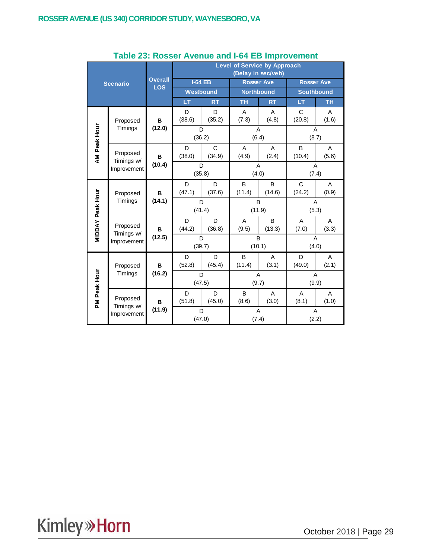|                         |                           |                              | <b>Level of Service by Approach</b><br>(Delay in sec/veh) |                        |                   |                   |                   |            |  |  |
|-------------------------|---------------------------|------------------------------|-----------------------------------------------------------|------------------------|-------------------|-------------------|-------------------|------------|--|--|
|                         | <b>Scenario</b>           | <b>Overall</b><br><b>LOS</b> | <b>I-64 EB</b>                                            |                        | <b>Rosser Ave</b> |                   | <b>Rosser Ave</b> |            |  |  |
|                         |                           |                              |                                                           | Westbound              |                   | <b>Northbound</b> | <b>Southbound</b> |            |  |  |
|                         |                           |                              | LT                                                        | <b>RT</b>              | <b>TH</b>         | <b>RT</b>         | LT                | <b>TH</b>  |  |  |
|                         | Proposed<br>Timings       | B                            | D<br>(38.6)                                               | D<br>(35.2)            | A<br>(7.3)        | A<br>(4.8)        | C<br>(20.8)       | A<br>(1.6) |  |  |
| AM Peak Hour            |                           | (12.0)                       |                                                           | D<br>(36.2)            | (6.4)             | Α                 | A<br>(8.7)        |            |  |  |
|                         | Proposed<br>Timings w/    | B                            | D<br>(38.0)                                               | $\mathsf{C}$<br>(34.9) | A<br>(4.9)        | A<br>(2.4)        | B<br>(10.4)       | A<br>(5.6) |  |  |
|                         | Improvement               | (10.4)                       | D<br>(35.8)                                               |                        | A<br>(4.0)        |                   | A<br>(7.4)        |            |  |  |
|                         | Proposed<br>Timings       | B                            | D<br>(47.1)                                               | D<br>(37.6)            | B<br>(11.4)       | B<br>(14.6)       | C<br>(24.2)       | A<br>(0.9) |  |  |
|                         |                           | (14.1)                       | D<br>(41.4)                                               |                        |                   | B<br>(11.9)       | A<br>(5.3)        |            |  |  |
| <b>MIDDAY Peak Hour</b> | Proposed                  | B<br>(12.5)                  | D<br>(44.2)                                               | D<br>(36.8)            | A<br>(9.5)        | B<br>(13.3)       | A<br>(7.0)        | Α<br>(3.3) |  |  |
|                         | Timings w/<br>Improvement |                              | D<br>(39.7)                                               |                        | B<br>(10.1)       |                   | Α<br>(4.0)        |            |  |  |
|                         | Proposed                  | B                            | D<br>(52.8)                                               | D<br>(45.4)            | B<br>(11.4)       | A<br>(3.1)        | D<br>(49.0)       | A<br>(2.1) |  |  |
|                         | Timings                   | (16.2)                       |                                                           | D<br>(47.5)            | A<br>(9.7)        |                   | Α<br>(9.9)        |            |  |  |
| PM Peak Hour            | Proposed                  | в                            | D<br>(51.8)                                               | D<br>(45.0)            | B<br>(8.6)        | A<br>(3.0)        | A<br>(8.1)        | A<br>(1.0) |  |  |
|                         | Timings w/<br>Improvement | (11.9)                       |                                                           | D<br>(47.0)            |                   | A<br>(7.4)        | A<br>(2.2)        |            |  |  |

#### **Table 23: Rosser Avenue and I-64 EB Improvement**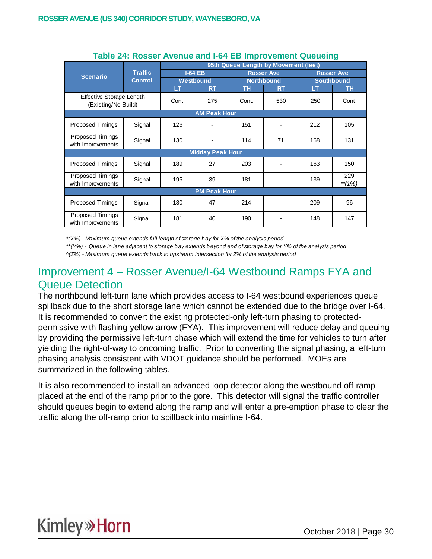|                                                 |                |           | 95th Queue Length by Movement (feet) |       |                   |                   |                 |  |  |  |
|-------------------------------------------------|----------------|-----------|--------------------------------------|-------|-------------------|-------------------|-----------------|--|--|--|
| <b>Scenario</b>                                 | <b>Traffic</b> |           | <b>I-64 EB</b>                       |       | <b>Rosser Ave</b> | <b>Rosser Ave</b> |                 |  |  |  |
|                                                 | <b>Control</b> | Westbound |                                      |       | <b>Northbound</b> | <b>Southbound</b> |                 |  |  |  |
|                                                 |                | LT        | <b>RT</b>                            | TН    | <b>RT</b>         | LТ                | <b>TH</b>       |  |  |  |
| Effective Storage Length<br>(Existing/No Build) |                | Cont.     | 275                                  | Cont. | 530               | 250               | Cont.           |  |  |  |
| <b>AM Peak Hour</b>                             |                |           |                                      |       |                   |                   |                 |  |  |  |
| <b>Proposed Timings</b>                         | Signal         | 126       |                                      | 151   |                   | 212               | 105             |  |  |  |
| Proposed Timings<br>with Improvements           | Signal         |           |                                      | 114   | 71                | 168               | 131             |  |  |  |
|                                                 |                |           | <b>Midday Peak Hour</b>              |       |                   |                   |                 |  |  |  |
| <b>Proposed Timings</b>                         | Signal         | 189       | 27                                   | 203   |                   | 163               | 150             |  |  |  |
| <b>Proposed Timings</b><br>with Improvements    | Signal         | 195       | 39                                   | 181   |                   | 139               | 229<br>$**(1%)$ |  |  |  |
|                                                 |                |           | <b>PM Peak Hour</b>                  |       |                   |                   |                 |  |  |  |
| <b>Proposed Timings</b>                         | Signal         | 180       | 47                                   | 214   |                   | 209               | 96              |  |  |  |
| <b>Proposed Timings</b><br>with Improvements    | Signal         | 181       | 40                                   | 190   |                   | 148               | 147             |  |  |  |

#### **Table 24: Rosser Avenue and I-64 EB Improvement Queueing**

*\*(X%) - Maximum queue extends full length of storage bay for X% of the analysis period*

*\*\*(Y%) - Queue in lane adjacent to storage bay extends beyond end of storage bay for Y% of the analysis period*

*^(Z%) - Maximum queue extends back to upstream intersection for Z% of the analysis period*

## Improvement 4 – Rosser Avenue/I-64 Westbound Ramps FYA and Queue Detection

The northbound left-turn lane which provides access to I-64 westbound experiences queue spillback due to the short storage lane which cannot be extended due to the bridge over I-64. It is recommended to convert the existing protected-only left-turn phasing to protectedpermissive with flashing yellow arrow (FYA). This improvement will reduce delay and queuing by providing the permissive left-turn phase which will extend the time for vehicles to turn after yielding the right-of-way to oncoming traffic. Prior to converting the signal phasing, a left-turn phasing analysis consistent with VDOT guidance should be performed. MOEs are summarized in the following tables.

It is also recommended to install an advanced loop detector along the westbound off-ramp placed at the end of the ramp prior to the gore. This detector will signal the traffic controller should queues begin to extend along the ramp and will enter a pre-emption phase to clear the traffic along the off-ramp prior to spillback into mainline I-64.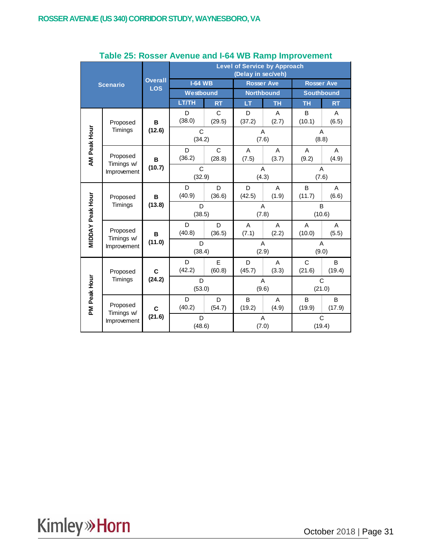|                  |                                       |                              | <b>Level of Service by Approach</b><br>(Delay in sec/veh) |             |             |                   |                       |             |  |  |
|------------------|---------------------------------------|------------------------------|-----------------------------------------------------------|-------------|-------------|-------------------|-----------------------|-------------|--|--|
|                  | <b>Scenario</b>                       | <b>Overall</b><br><b>LOS</b> | <b>I-64 WB</b>                                            |             |             | <b>Rosser Ave</b> | <b>Rosser Ave</b>     |             |  |  |
|                  |                                       |                              | Westbound                                                 |             |             | <b>Northbound</b> | <b>Southbound</b>     |             |  |  |
|                  |                                       |                              | <b>LT/TH</b>                                              | <b>RT</b>   | LT          | <b>TH</b>         | <b>TH</b>             | <b>RT</b>   |  |  |
|                  | Proposed                              | в                            | D<br>(38.0)                                               | C<br>(29.5) | D<br>(37.2) | Α<br>(2.7)        | B<br>(10.1)           | Α<br>(6.5)  |  |  |
|                  | Timings                               | (12.6)                       | C<br>(34.2)                                               |             |             | A<br>(7.6)        |                       | A<br>(8.8)  |  |  |
| AM Peak Hour     | Proposed                              | B                            | D<br>(36.2)                                               | C<br>(28.8) | A<br>(7.5)  | A<br>(3.7)        | A<br>(9.2)            | A<br>(4.9)  |  |  |
|                  | Timings w/<br>Improvement             | (10.7)                       | C<br>(32.9)                                               |             | A<br>(4.3)  |                   | A<br>(7.6)            |             |  |  |
|                  | Proposed<br>Timings                   | в                            | D<br>(40.9)                                               | D<br>(36.6) | D<br>(42.5) | A<br>(1.9)        | B<br>(11.7)           | A<br>(6.6)  |  |  |
|                  |                                       | (13.8)                       | D<br>(38.5)                                               |             |             | A<br>(7.8)        |                       | B<br>(10.6) |  |  |
| MIDDAY Peak Hour | Proposed                              | в<br>(11.0)                  | D<br>(40.8)                                               | D<br>(36.5) | A<br>(7.1)  | A<br>(2.2)        | A<br>(10.0)           | A<br>(5.5)  |  |  |
|                  | Timings w/<br>Improvement             |                              | D<br>(38.4)                                               |             | A<br>(2.9)  |                   | A<br>(9.0)            |             |  |  |
|                  | Proposed                              | C                            | D<br>(42.2)                                               | E<br>(60.8) | D<br>(45.7) | A<br>(3.3)        | C<br>(21.6)           | B<br>(19.4) |  |  |
|                  | Timings                               | (24.2)                       | D<br>(53.0)                                               |             | A<br>(9.6)  |                   | $\mathbf C$<br>(21.0) |             |  |  |
| PM Peak Hour     | Proposed<br>Timings w/<br>Improvement | C                            | D<br>(40.2)                                               | D<br>(54.7) | B<br>(19.2) | A<br>(4.9)        | B<br>(19.9)           | B<br>(17.9) |  |  |
|                  |                                       | (21.6)                       | D<br>(48.6)                                               |             |             | Α<br>(7.0)        | С<br>(19.4)           |             |  |  |

#### **Table 25: Rosser Avenue and I-64 WB Ramp Improvement**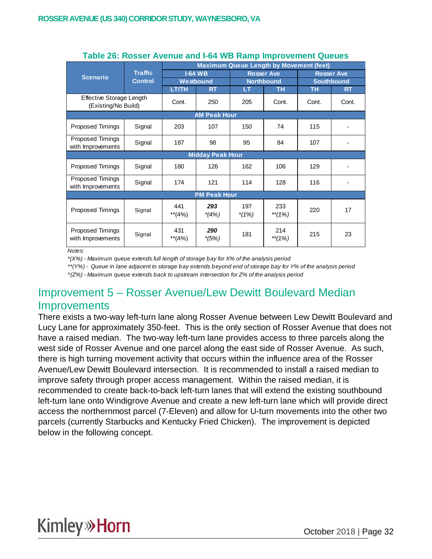|                                                 |                | <b>Maximum Queue Length by Movement (feet)</b> |                     |                |                   |                   |                   |  |  |
|-------------------------------------------------|----------------|------------------------------------------------|---------------------|----------------|-------------------|-------------------|-------------------|--|--|
| <b>Scenario</b>                                 | <b>Traffic</b> |                                                | $I-64$ WB           |                | <b>Rosser Ave</b> |                   | <b>Rosser Ave</b> |  |  |
|                                                 | <b>Control</b> | Westbound                                      |                     |                | <b>Northbound</b> | <b>Southbound</b> |                   |  |  |
|                                                 |                | <b>LT/TH</b>                                   | <b>RT</b>           | LТ             | <b>TH</b>         | <b>TH</b>         | <b>RT</b>         |  |  |
| Effective Storage Length<br>(Existing/No Build) |                | Cont.                                          | 250                 | 205            | Cont.             | Cont.             | Cont.             |  |  |
|                                                 |                |                                                | <b>AM Peak Hour</b> |                |                   |                   |                   |  |  |
| Proposed Timings                                | Signal         | 203                                            | 107                 | 150            | 74                | 115               |                   |  |  |
| Proposed Timings<br>with Improvements           | Signal         | 187                                            | 98                  | 95<br>84       |                   | 107               | -                 |  |  |
| <b>Midday Peak Hour</b>                         |                |                                                |                     |                |                   |                   |                   |  |  |
| Proposed Timings                                | Signal         | 180                                            | 126                 | 162            | 106               | 129               |                   |  |  |
| Proposed Timings<br>with Improvements           | Signal         | 174                                            | 121                 | 114            | 128               | 116               | ۰                 |  |  |
|                                                 |                |                                                | <b>PM Peak Hour</b> |                |                   |                   |                   |  |  |
| Proposed Timings                                | Signal         | 441<br>$**$ (4%)                               | 293<br>$*(4%)$      | 197<br>$*(1%)$ | 233<br>$**(1%)$   | 220               | 17                |  |  |
| Proposed Timings<br>with Improvements           | Signal         | 431<br>$**$ (4%)                               | 290<br>$*(5%)$      | 181            | 214<br>$**(1%)$   | 215               | 23                |  |  |

#### **Table 26: Rosser Avenue and I-64 WB Ramp Improvement Queues**

*Notes:*

*\*(X%) - Maximum queue extends full length of storage bay for X% of the analysis period*

*\*\*(Y%) - Queue in lane adjacent to storage bay extends beyond end of storage bay for Y% of the analysis period ^(Z%) - Maximum queue extends back to upstream intersection for Z% of the analysis period*

## Improvement 5 – Rosser Avenue/Lew Dewitt Boulevard Median **Improvements**

There exists a two-way left-turn lane along Rosser Avenue between Lew Dewitt Boulevard and Lucy Lane for approximately 350-feet. This is the only section of Rosser Avenue that does not have a raised median. The two-way left-turn lane provides access to three parcels along the west side of Rosser Avenue and one parcel along the east side of Rosser Avenue. As such, there is high turning movement activity that occurs within the influence area of the Rosser Avenue/Lew Dewitt Boulevard intersection. It is recommended to install a raised median to improve safety through proper access management. Within the raised median, it is recommended to create back-to-back left-turn lanes that will extend the existing southbound left-turn lane onto Windigrove Avenue and create a new left-turn lane which will provide direct access the northernmost parcel (7-Eleven) and allow for U-turn movements into the other two parcels (currently Starbucks and Kentucky Fried Chicken). The improvement is depicted below in the following concept.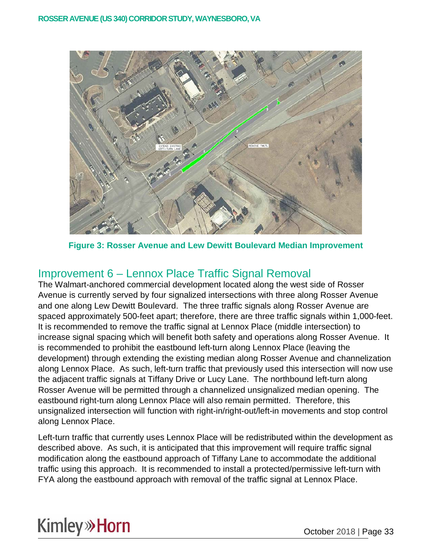

**Figure 3: Rosser Avenue and Lew Dewitt Boulevard Median Improvement**

## Improvement 6 – Lennox Place Traffic Signal Removal

The Walmart-anchored commercial development located along the west side of Rosser Avenue is currently served by four signalized intersections with three along Rosser Avenue and one along Lew Dewitt Boulevard. The three traffic signals along Rosser Avenue are spaced approximately 500-feet apart; therefore, there are three traffic signals within 1,000-feet. It is recommended to remove the traffic signal at Lennox Place (middle intersection) to increase signal spacing which will benefit both safety and operations along Rosser Avenue. It is recommended to prohibit the eastbound left-turn along Lennox Place (leaving the development) through extending the existing median along Rosser Avenue and channelization along Lennox Place. As such, left-turn traffic that previously used this intersection will now use the adjacent traffic signals at Tiffany Drive or Lucy Lane. The northbound left-turn along Rosser Avenue will be permitted through a channelized unsignalized median opening. The eastbound right-turn along Lennox Place will also remain permitted. Therefore, this unsignalized intersection will function with right-in/right-out/left-in movements and stop control along Lennox Place.

Left-turn traffic that currently uses Lennox Place will be redistributed within the development as described above. As such, it is anticipated that this improvement will require traffic signal modification along the eastbound approach of Tiffany Lane to accommodate the additional traffic using this approach. It is recommended to install a protected/permissive left-turn with FYA along the eastbound approach with removal of the traffic signal at Lennox Place.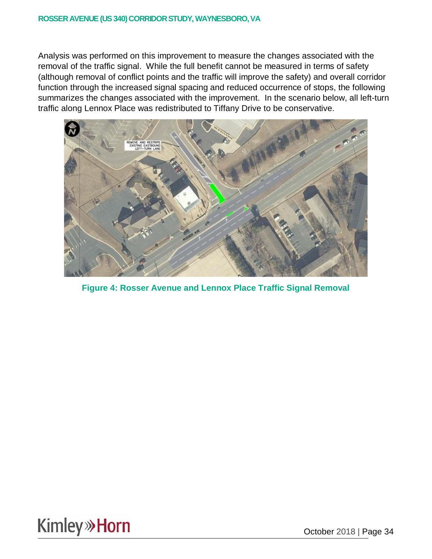Analysis was performed on this improvement to measure the changes associated with the removal of the traffic signal. While the full benefit cannot be measured in terms of safety (although removal of conflict points and the traffic will improve the safety) and overall corridor function through the increased signal spacing and reduced occurrence of stops, the following summarizes the changes associated with the improvement. In the scenario below, all left-turn traffic along Lennox Place was redistributed to Tiffany Drive to be conservative.



**Figure 4: Rosser Avenue and Lennox Place Traffic Signal Removal**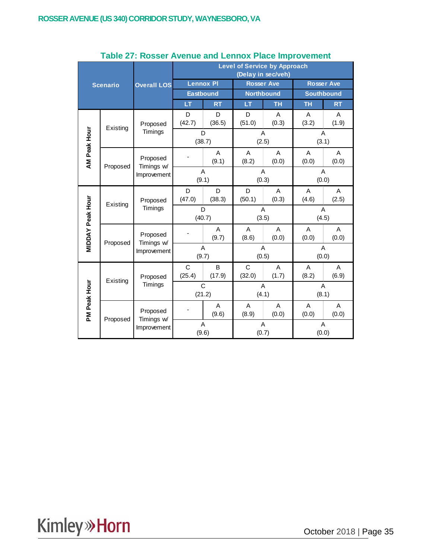|                         |                 |                                       | <b>Level of Service by Approach</b><br>(Delay in sec/veh) |             |             |                   |                   |            |  |  |
|-------------------------|-----------------|---------------------------------------|-----------------------------------------------------------|-------------|-------------|-------------------|-------------------|------------|--|--|
|                         | <b>Scenario</b> | <b>Overall LOS</b>                    | <b>Lennox PI</b>                                          |             |             | <b>Rosser Ave</b> | <b>Rosser Ave</b> |            |  |  |
|                         |                 |                                       | <b>Eastbound</b>                                          |             |             | <b>Northbound</b> | <b>Southbound</b> |            |  |  |
|                         |                 |                                       | LT                                                        | <b>RT</b>   | LT          | <b>TH</b>         | <b>TH</b>         | <b>RT</b>  |  |  |
|                         | Existing        | Proposed                              | D<br>(42.7)                                               | D<br>(36.5) | D<br>(51.0) | A<br>(0.3)        | A<br>(3.2)        | A<br>(1.9) |  |  |
|                         |                 | Timings                               | D<br>(38.7)                                               |             |             | A<br>(2.5)        | (3.1)             | A          |  |  |
| AM Peak Hour            | Proposed        | Proposed<br>Timings w/                |                                                           | A<br>(9.1)  | A<br>(8.2)  | A<br>(0.0)        | A<br>(0.0)        | A<br>(0.0) |  |  |
|                         |                 | Improvement                           | A<br>(9.1)                                                |             | A<br>(0.3)  |                   | Α<br>(0.0)        |            |  |  |
|                         | Existing        | Proposed                              | D<br>(47.0)                                               | D<br>(38.3) | D<br>(50.1) | A<br>(0.3)        | A<br>(4.6)        | A<br>(2.5) |  |  |
|                         |                 | Timings                               | D<br>(40.7)                                               |             |             | A<br>(3.5)        | (4.5)             | A          |  |  |
| <b>MIDDAY Peak Hour</b> | Proposed        | Proposed<br>Timings w/<br>Improvement |                                                           | A<br>(9.7)  | A<br>(8.6)  | A<br>(0.0)        | A<br>(0.0)        | A<br>(0.0) |  |  |
|                         |                 |                                       | A<br>(9.7)                                                |             | A<br>(0.5)  |                   | A<br>(0.0)        |            |  |  |
|                         | Existing        | Proposed                              | C<br>(25.4)                                               | B<br>(17.9) | C<br>(32.0) | A<br>(1.7)        | A<br>(8.2)        | A<br>(6.9) |  |  |
|                         |                 | Timings                               |                                                           | C<br>(21.2) |             | A<br>(4.1)        |                   | A<br>(8.1) |  |  |
| PM Peak Hour            |                 | Proposed                              |                                                           | A<br>(9.6)  | A<br>(8.9)  | A<br>(0.0)        | A<br>(0.0)        | A<br>(0.0) |  |  |
|                         | Proposed        | Timings w/<br>Improvement             | A<br>(9.6)                                                |             |             | A<br>(0.7)        | A<br>(0.0)        |            |  |  |

#### **Table 27: Rosser Avenue and Lennox Place Improvement**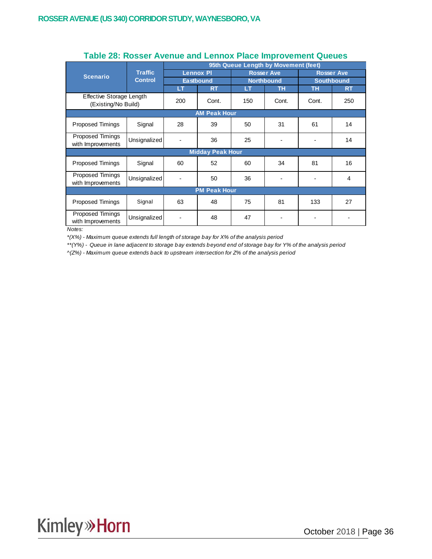|                                              |                                                 | 95th Queue Length by Movement (feet) |                         |           |                   |                   |           |  |  |
|----------------------------------------------|-------------------------------------------------|--------------------------------------|-------------------------|-----------|-------------------|-------------------|-----------|--|--|
| <b>Scenario</b>                              | <b>Traffic</b>                                  | <b>Lennox PI</b><br><b>Eastbound</b> |                         |           | <b>Rosser Ave</b> | <b>Rosser Ave</b> |           |  |  |
|                                              | <b>Control</b>                                  |                                      |                         |           | <b>Northbound</b> | <b>Southbound</b> |           |  |  |
|                                              |                                                 | <b>LT</b>                            | <b>RT</b>               | <b>LT</b> | TН                | <b>TH</b>         | <b>RT</b> |  |  |
|                                              | Effective Storage Length<br>(Existing/No Build) |                                      | Cont.                   | 150       | Cont.             | Cont.             | 250       |  |  |
| <b>AM Peak Hour</b>                          |                                                 |                                      |                         |           |                   |                   |           |  |  |
| <b>Proposed Timings</b>                      | Signal                                          |                                      | 39                      | 50        | 31                | 61                | 14        |  |  |
| <b>Proposed Timings</b><br>with Improvements | Unsignalized                                    |                                      | 36                      | 25        |                   |                   | 14        |  |  |
|                                              |                                                 |                                      | <b>Midday Peak Hour</b> |           |                   |                   |           |  |  |
| <b>Proposed Timings</b>                      | Signal                                          | 60                                   | 52                      | 60        | 34                | 81                | 16        |  |  |
| Proposed Timings<br>with Improvements        | Unsignalized                                    | $\overline{\phantom{a}}$             | 50                      | 36        |                   |                   | 4         |  |  |
|                                              |                                                 |                                      | <b>PM Peak Hour</b>     |           |                   |                   |           |  |  |
| <b>Proposed Timings</b>                      | Signal                                          | 63                                   | 48                      | 75        | 81                | 133               | 27        |  |  |
| Proposed Timings<br>with Improvements        | Unsignalized                                    |                                      | 48                      | 47        |                   |                   |           |  |  |

#### **Table 28: Rosser Avenue and Lennox Place Improvement Queues**

*Notes:*

*\*(X%) - Maximum queue extends full length of storage bay for X% of the analysis period*

*\*\*(Y%) - Queue in lane adjacent to storage bay extends beyond end of storage bay for Y% of the analysis period*

*^(Z%) - Maximum queue extends back to upstream intersection for Z% of the analysis period*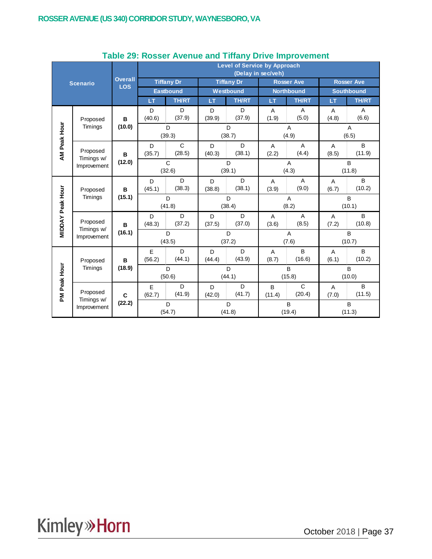|                         |                           |                              |                        | <b>Level of Service by Approach</b><br>(Delay in sec/veh) |             |                   |             |                         |                   |                   |  |  |
|-------------------------|---------------------------|------------------------------|------------------------|-----------------------------------------------------------|-------------|-------------------|-------------|-------------------------|-------------------|-------------------|--|--|
|                         | <b>Scenario</b>           | <b>Overall</b><br><b>LOS</b> | <b>Tiffany Dr</b>      |                                                           |             | <b>Tiffany Dr</b> |             | <b>Rosser Ave</b>       | <b>Rosser Ave</b> |                   |  |  |
|                         |                           |                              | <b>Eastbound</b>       |                                                           |             | Westbound         |             | <b>Northbound</b>       |                   | <b>Southbound</b> |  |  |
|                         |                           |                              | LT                     | <b>TH/RT</b>                                              | LT          | <b>TH/RT</b>      | LT          | <b>TH/RT</b>            | LT                | <b>TH/RT</b>      |  |  |
|                         | Proposed                  | в                            | D<br>(40.6)            | D<br>(37.9)                                               | D<br>(39.9) | D<br>(37.9)       | A<br>(1.9)  | Α<br>(5.0)              | Α<br>(4.8)        | Α<br>(6.6)        |  |  |
|                         | Timings                   | (10.0)                       |                        | D<br>(39.3)                                               |             | D<br>(38.7)       |             | A<br>(4.9)              |                   | A<br>(6.5)        |  |  |
| AM Peak Hour            | Proposed<br>Timings w/    | B                            | D<br>(35.7)            | $\mathsf{C}$<br>(28.5)                                    | D<br>(40.3) | D<br>(38.1)       | A<br>(2.2)  | $\overline{A}$<br>(4.4) | A<br>(8.5)        | B<br>(11.9)       |  |  |
|                         | Improvement               | (12.0)                       | $\mathsf{C}$<br>(32.6) |                                                           | D<br>(39.1) |                   | A<br>(4.3)  |                         | B<br>(11.8)       |                   |  |  |
|                         | Proposed<br>Timings       | в                            | D<br>(45.1)            | D<br>(38.3)                                               | D<br>(38.8) | D<br>(38.1)       | A<br>(3.9)  | A<br>(9.0)              | Α<br>(6.7)        | B<br>(10.2)       |  |  |
|                         |                           | (15.1)                       | D<br>(41.8)            |                                                           |             | D<br>(38.4)       |             | A<br>(8.2)              |                   | B<br>(10.1)       |  |  |
| <b>MIDDAY Peak Hour</b> | Proposed<br>Timings w/    | в                            | D<br>(48.3)            | D<br>(37.2)                                               | D<br>(37.5) | D<br>(37.0)       | Α<br>(3.6)  | $\overline{A}$<br>(8.5) | Α<br>(7.2)        | B<br>(10.8)       |  |  |
|                         | Improvement               | (16.1)                       |                        | D<br>(43.5)                                               |             | D<br>(37.2)       |             | A<br>(7.6)              |                   | B<br>(10.7)       |  |  |
|                         | Proposed                  | в                            | E<br>(56.2)            | D<br>(44.1)                                               | D<br>(44.4) | D<br>(43.9)       | Α<br>(8.7)  | B<br>(16.6)             | Α<br>(6.1)        | B<br>(10.2)       |  |  |
|                         | Timings                   | (18.9)                       |                        | D<br>(50.6)                                               |             | D<br>(44.1)       |             | B<br>(15.8)             |                   | B<br>(10.0)       |  |  |
| PM Peak Hour            | Proposed                  | $\mathbf c$                  | E<br>(62.7)            | D<br>(41.9)                                               | D<br>(42.0) | D<br>(41.7)       | B<br>(11.4) | C<br>(20.4)             | A<br>(7.0)        | B<br>(11.5)       |  |  |
|                         | Timings w/<br>Improvement | (22.2)                       |                        | D<br>(54.7)                                               |             | D<br>(41.8)       |             | B<br>(19.4)             | B<br>(11.3)       |                   |  |  |

#### **Table 29: Rosser Avenue and Tiffany Drive Improvement**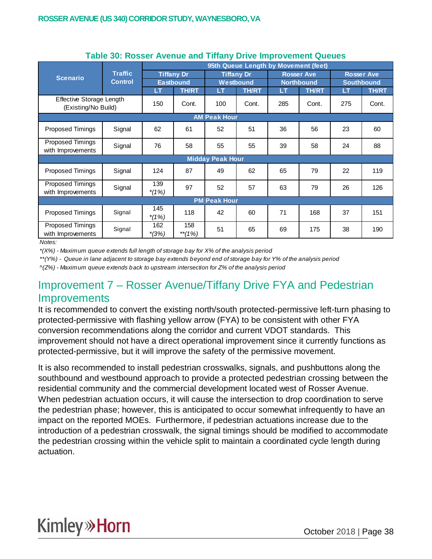|                                                 |                     | 95th Queue Length by Movement (feet)  |               |                         |              |     |                   |     |                   |  |  |
|-------------------------------------------------|---------------------|---------------------------------------|---------------|-------------------------|--------------|-----|-------------------|-----|-------------------|--|--|
| <b>Scenario</b>                                 | <b>Traffic</b>      | <b>Tiffany Dr</b><br><b>Eastbound</b> |               | <b>Tiffany Dr</b>       |              |     | <b>Rosser Ave</b> |     | <b>Rosser Ave</b> |  |  |
|                                                 | <b>Control</b>      |                                       |               |                         | Westbound    |     | <b>Northbound</b> |     | <b>Southbound</b> |  |  |
|                                                 |                     | <b>LT</b>                             | <b>TH/RT</b>  | LT                      | <b>TH/RT</b> | LT  | <b>TH/RT</b>      | LT  | <b>TH/RT</b>      |  |  |
| Effective Storage Length<br>(Existing/No Build) |                     | 150                                   | Cont.         | 100                     | Cont.        | 285 | Cont.             | 275 | Cont.             |  |  |
|                                                 | <b>AM Peak Hour</b> |                                       |               |                         |              |     |                   |     |                   |  |  |
| Proposed Timings                                | Signal              | 62                                    | 61            | 52                      | 51           | 36  | 56                | 23  | 60                |  |  |
| Proposed Timings<br>with Improvements           | Signal              | 76                                    | 58            | 55                      | 55           | 39  | 58                | 24  | 88                |  |  |
|                                                 |                     |                                       |               | <b>Midday Peak Hour</b> |              |     |                   |     |                   |  |  |
| <b>Proposed Timings</b>                         | Signal              | 124                                   | 87            | 49                      | 62           | 65  | 79                | 22  | 119               |  |  |
| Proposed Timings<br>with Improvements           | Signal              | 139<br>$*(1%)$                        | 97            | 52                      | 57           | 63  | 79                | 26  | 126               |  |  |
|                                                 |                     |                                       |               | <b>PM Peak Hour</b>     |              |     |                   |     |                   |  |  |
| Proposed Timings                                | Signal              | 145<br>$*(1%)$                        | 118           | 42                      | 60           | 71  | 168               | 37  | 151               |  |  |
| Proposed Timings<br>with Improvements           | Signal              | 162<br>$*(3%)$                        | 158<br>**(1%) | 51                      | 65           | 69  | 175               | 38  | 190               |  |  |

#### **Table 30: Rosser Avenue and Tiffany Drive Improvement Queues**

*Notes:*

*\*(X%) - Maximum queue extends full length of storage bay for X% of the analysis period*

*\*\*(Y%) - Queue in lane adjacent to storage bay extends beyond end of storage bay for Y% of the analysis period*

*^(Z%) - Maximum queue extends back to upstream intersection for Z% of the analysis period*

### Improvement 7 – Rosser Avenue/Tiffany Drive FYA and Pedestrian Improvements

It is recommended to convert the existing north/south protected-permissive left-turn phasing to protected-permissive with flashing yellow arrow (FYA) to be consistent with other FYA conversion recommendations along the corridor and current VDOT standards. This improvement should not have a direct operational improvement since it currently functions as protected-permissive, but it will improve the safety of the permissive movement.

It is also recommended to install pedestrian crosswalks, signals, and pushbuttons along the southbound and westbound approach to provide a protected pedestrian crossing between the residential community and the commercial development located west of Rosser Avenue. When pedestrian actuation occurs, it will cause the intersection to drop coordination to serve the pedestrian phase; however, this is anticipated to occur somewhat infrequently to have an impact on the reported MOEs. Furthermore, if pedestrian actuations increase due to the introduction of a pedestrian crosswalk, the signal timings should be modified to accommodate the pedestrian crossing within the vehicle split to maintain a coordinated cycle length during actuation.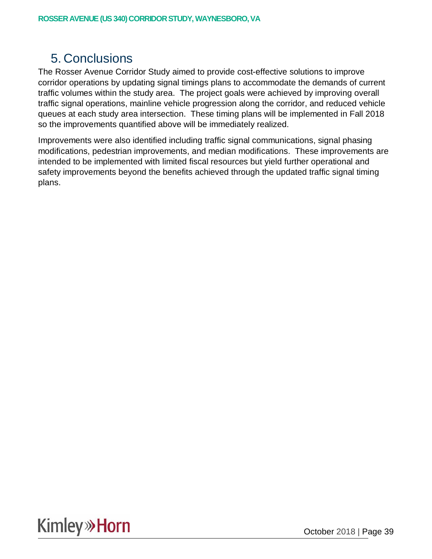## 5. Conclusions

The Rosser Avenue Corridor Study aimed to provide cost-effective solutions to improve corridor operations by updating signal timings plans to accommodate the demands of current traffic volumes within the study area. The project goals were achieved by improving overall traffic signal operations, mainline vehicle progression along the corridor, and reduced vehicle queues at each study area intersection. These timing plans will be implemented in Fall 2018 so the improvements quantified above will be immediately realized.

Improvements were also identified including traffic signal communications, signal phasing modifications, pedestrian improvements, and median modifications. These improvements are intended to be implemented with limited fiscal resources but yield further operational and safety improvements beyond the benefits achieved through the updated traffic signal timing plans.